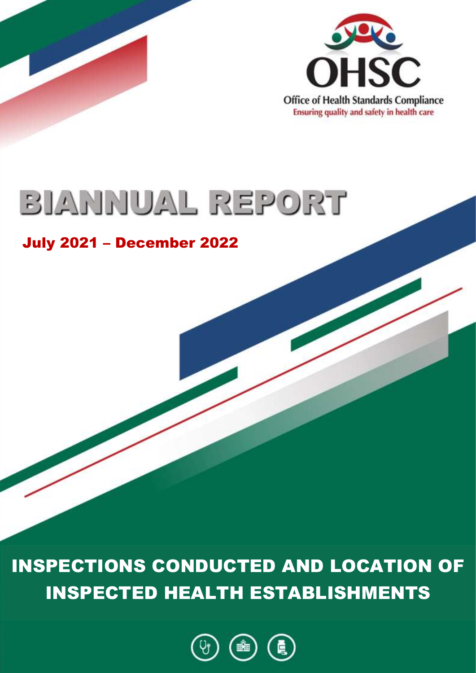

## BIANNUAL REPORT

## July 2021 – December 2022

INSPECTIONS CONDUCTED AND LOCATION OF INSPECTED HEALTH ESTABLISHMENTS

**\_\_\_\_\_\_\_\_\_\_\_\_\_\_\_\_\_\_\_\_\_\_\_\_\_\_\_\_\_\_\_\_\_\_\_\_\_\_\_\_\_\_\_\_\_\_\_\_\_\_**

**PUBLISHED IN TERMS OF SECTION 31(1)(b) OF THE PROCEDURAL REGULATIONS PERTAINING TO THE FUNCTIONING OF THE OFFICE OF HEALTH STANDARDS COMPLIANCE AND HANDLING OF COMPLAINTS BY THE OMBUD AND STRUCTURE OF A STRUCTURE OF A STRUCTURE OF A STRUCTURE OF A STRUCTURE OF A STRUCTURE** 

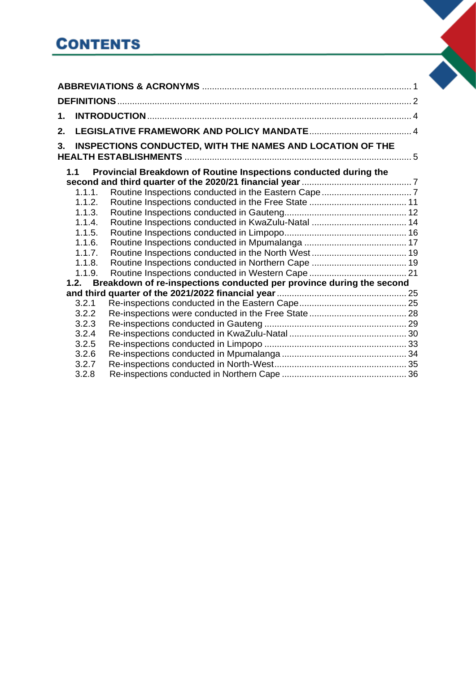## **CONTENTS**

| 1.     |                                                                           |  |
|--------|---------------------------------------------------------------------------|--|
| 2.     |                                                                           |  |
| 3.     | INSPECTIONS CONDUCTED, WITH THE NAMES AND LOCATION OF THE                 |  |
| 1.1    | Provincial Breakdown of Routine Inspections conducted during the          |  |
| 1.1.1. |                                                                           |  |
| 1.1.2. |                                                                           |  |
| 1.1.3. |                                                                           |  |
| 1.1.4. |                                                                           |  |
| 1.1.5. |                                                                           |  |
| 1.1.6. |                                                                           |  |
| 1.1.7. |                                                                           |  |
| 1.1.8. |                                                                           |  |
| 1.1.9. |                                                                           |  |
|        | 1.2. Breakdown of re-inspections conducted per province during the second |  |
|        |                                                                           |  |
| 3.2.1  |                                                                           |  |
| 3.2.2  |                                                                           |  |
| 3.2.3  |                                                                           |  |
| 3.2.4  |                                                                           |  |
| 3.2.5  |                                                                           |  |
| 3.2.6  |                                                                           |  |
| 3.2.7  |                                                                           |  |
| 3.2.8  |                                                                           |  |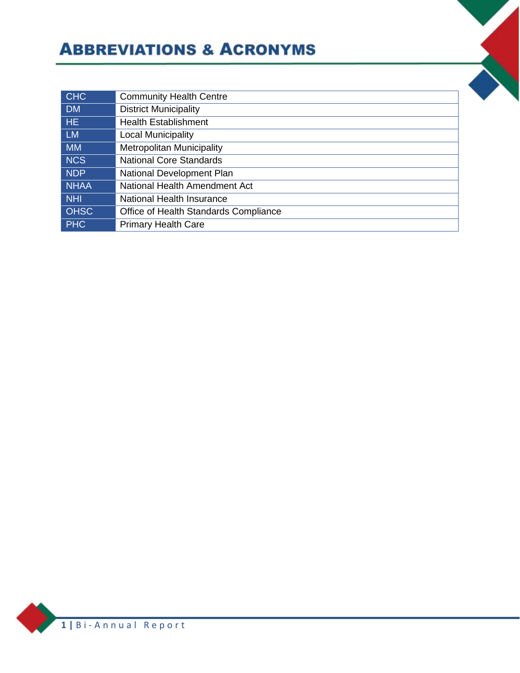## **ABBREVIATIONS & ACRONYMS**

<span id="page-2-0"></span>

| <b>CHC</b>      | <b>Community Health Centre</b>        |
|-----------------|---------------------------------------|
| <b>DM</b>       | <b>District Municipality</b>          |
| HE <sub>1</sub> | <b>Health Establishment</b>           |
| <b>LM</b>       | <b>Local Municipality</b>             |
| <b>MM</b>       | <b>Metropolitan Municipality</b>      |
| <b>NCS</b>      | <b>National Core Standards</b>        |
| <b>NDP</b>      | National Development Plan             |
| <b>NHAA</b>     | National Health Amendment Act         |
| <b>NHI</b>      | National Health Insurance             |
| <b>OHSC</b>     | Office of Health Standards Compliance |
| <b>PHC</b>      | <b>Primary Health Care</b>            |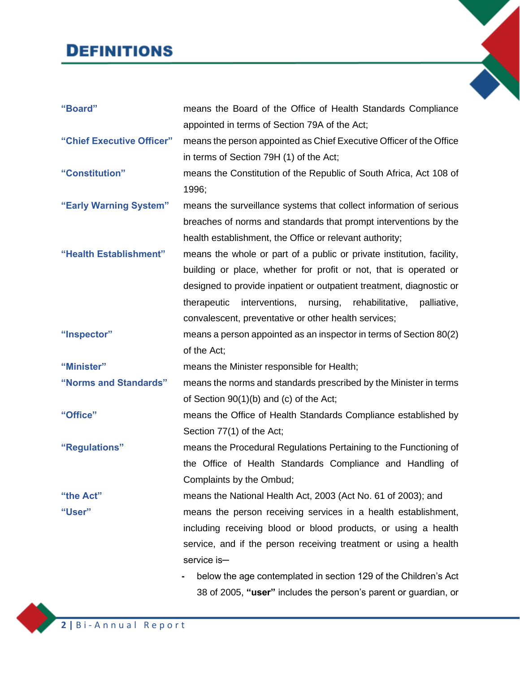## **DEFINITIONS**

**DEFINITIONS**

<span id="page-3-0"></span>

| "Board"                   | means the Board of the Office of Health Standards Compliance                |
|---------------------------|-----------------------------------------------------------------------------|
|                           | appointed in terms of Section 79A of the Act;                               |
| "Chief Executive Officer" | means the person appointed as Chief Executive Officer of the Office         |
|                           | in terms of Section 79H (1) of the Act;                                     |
| "Constitution"            | means the Constitution of the Republic of South Africa, Act 108 of          |
|                           | 1996;                                                                       |
| "Early Warning System"    | means the surveillance systems that collect information of serious          |
|                           | breaches of norms and standards that prompt interventions by the            |
|                           | health establishment, the Office or relevant authority;                     |
| "Health Establishment"    | means the whole or part of a public or private institution, facility,       |
|                           | building or place, whether for profit or not, that is operated or           |
|                           | designed to provide inpatient or outpatient treatment, diagnostic or        |
|                           | therapeutic<br>interventions,<br>nursing,<br>rehabilitative,<br>palliative, |
|                           | convalescent, preventative or other health services;                        |
| "Inspector"               | means a person appointed as an inspector in terms of Section 80(2)          |
|                           | of the Act;                                                                 |
| "Minister"                | means the Minister responsible for Health;                                  |
| "Norms and Standards"     | means the norms and standards prescribed by the Minister in terms           |
|                           | of Section $90(1)(b)$ and (c) of the Act;                                   |
| "Office"                  | means the Office of Health Standards Compliance established by              |
|                           | Section 77(1) of the Act;                                                   |
| "Regulations"             | means the Procedural Regulations Pertaining to the Functioning of           |
|                           | the Office of Health Standards Compliance and Handling of                   |
|                           | Complaints by the Ombud;                                                    |
| "the Act"                 | means the National Health Act, 2003 (Act No. 61 of 2003); and               |
| "User"                    | means the person receiving services in a health establishment,              |
|                           | including receiving blood or blood products, or using a health              |
|                           | service, and if the person receiving treatment or using a health            |
|                           | service is-                                                                 |
|                           | below the age contemplated in section 129 of the Children's Act             |
|                           | 38 of 2005, "user" includes the person's parent or guardian, or             |
|                           |                                                                             |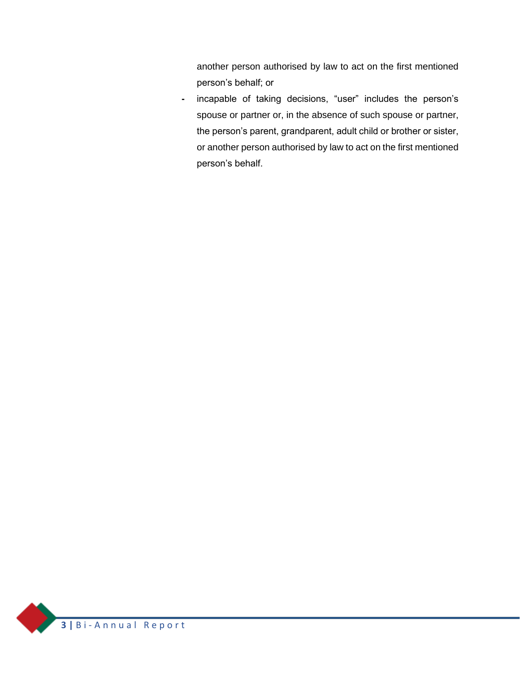another person authorised by law to act on the first mentioned person's behalf; or

**-** incapable of taking decisions, "user" includes the person's spouse or partner or, in the absence of such spouse or partner, the person's parent, grandparent, adult child or brother or sister, or another person authorised by law to act on the first mentioned person's behalf.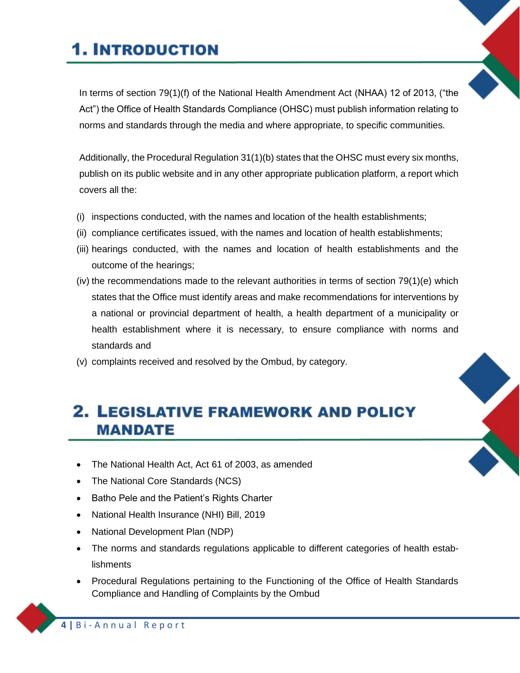## **1. INTRODUCTION**

**1. INTRODUCTION**

<span id="page-5-0"></span>In terms of section 79(1)(f) of the National Health Amendment Act (NHAA) 12 of 2013, ("the Act") the Office of Health Standards Compliance (OHSC) must publish information relating to norms and standards through the media and where appropriate, to specific communities.

Additionally, the Procedural Regulation 31(1)(b) states that the OHSC must every six months, publish on its public website and in any other appropriate publication platform, a report which covers all the:

- (i) inspections conducted, with the names and location of the health establishments;
- (ii) compliance certificates issued, with the names and location of health establishments;
- (iii) hearings conducted, with the names and location of health establishments and the outcome of the hearings;
- (iv) the recommendations made to the relevant authorities in terms of section 79(1)(e) which states that the Office must identify areas and make recommendations for interventions by a national or provincial department of health, a health department of a municipality or health establishment where it is necessary, to ensure compliance with norms and standards and
- (v) complaints received and resolved by the Ombud, by category.

## **2. LEGISLATIVE FRAMEWORK AND POLICY 2. LEGISLATIVE FRAMEWORK AND POLICY MANDATE**

- The National Health Act, Act 61 of 2003, as amended
- <span id="page-5-1"></span>• The National Core Standards (NCS)
- Batho Pele and the Patient's Rights Charter
- National Health Insurance (NHI) Bill, 2019
- National Development Plan (NDP)
- The norms and standards regulations applicable to different categories of health establishments
- Procedural Regulations pertaining to the Functioning of the Office of Health Standards Compliance and Handling of Complaints by the Ombud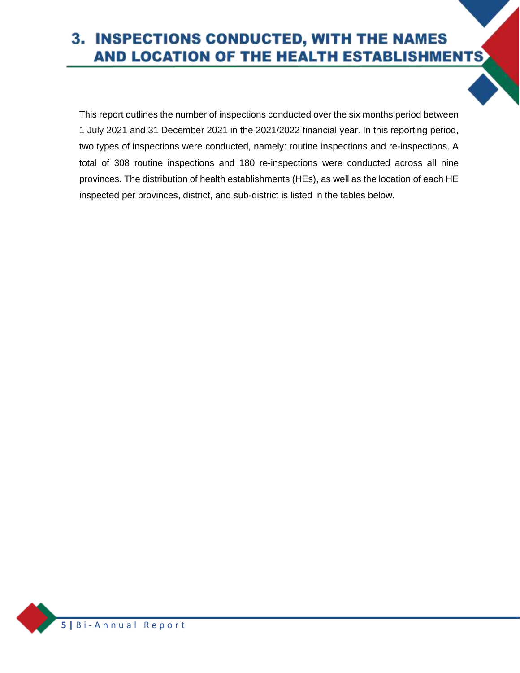#### 3. INSPECTIONS CONDUCTED, WITH THE NAMES AND LOCATION OF THE HEALTH ESTABLISHMENTS **3. INSPECTIONS CONDUCTED, WITH THE NAMES AND LOCATION OF THE HEALTH**

<span id="page-6-0"></span>This report outlines the number of inspections conducted over the six months period between 1 July 2021 and 31 December 2021 in the 2021/2022 financial year. In this reporting period, two types of inspections were conducted, namely: routine inspections and re-inspections. A total of 308 routine inspections and 180 re-inspections were conducted across all nine provinces. The distribution of health establishments (HEs), as well as the location of each HE inspected per provinces, district, and sub-district is listed in the tables below.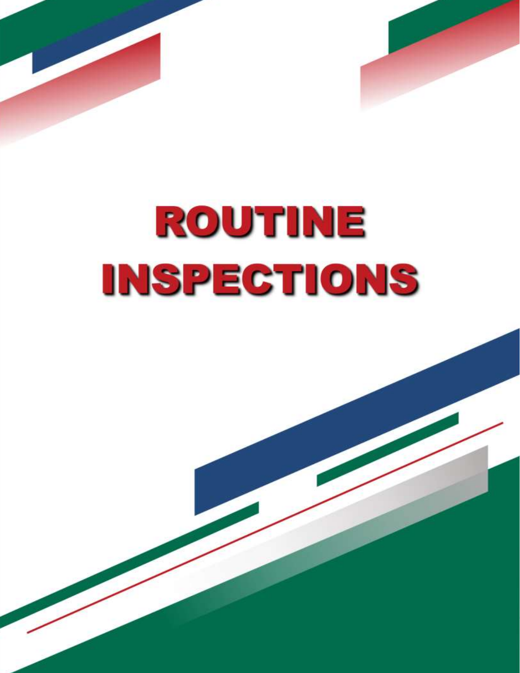

*<b>6*  $\frac{1}{2}$  in the p of the p of the p of the p of the p of the p of the p of the p of the p of the p of the p of the p of the p of the p of the p of the p of the p of the p of the p of the p of the p of the p of the

**ROUTINE INSPECTIONS**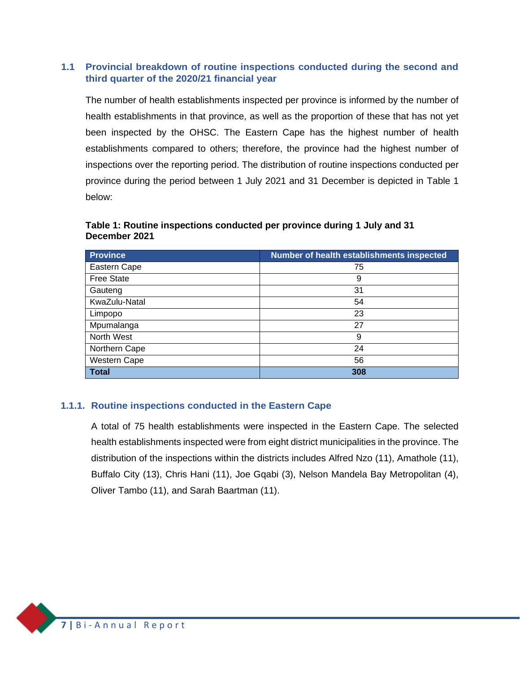#### **1.1 Provincial breakdown of routine inspections conducted during the second and third quarter of the 2020/21 financial year**

<span id="page-8-0"></span>The number of health establishments inspected per province is informed by the number of health establishments in that province, as well as the proportion of these that has not yet been inspected by the OHSC. The Eastern Cape has the highest number of health establishments compared to others; therefore, the province had the highest number of inspections over the reporting period. The distribution of routine inspections conducted per province during the period between 1 July 2021 and 31 December is depicted in [Table 1](#page-8-2) below:

#### <span id="page-8-2"></span>**Table 1: Routine inspections conducted per province during 1 July and 31 December 2021**

| <b>Province</b>     | Number of health establishments inspected |
|---------------------|-------------------------------------------|
| Eastern Cape        | 75                                        |
| <b>Free State</b>   | 9                                         |
| Gauteng             | 31                                        |
| KwaZulu-Natal       | 54                                        |
| Limpopo             | 23                                        |
| Mpumalanga          | 27                                        |
| North West          | 9                                         |
| Northern Cape       | 24                                        |
| <b>Western Cape</b> | 56                                        |
| <b>Total</b>        | 308                                       |

#### **1.1.1. Routine inspections conducted in the Eastern Cape**

<span id="page-8-1"></span>A total of 75 health establishments were inspected in the Eastern Cape. The selected health establishments inspected were from eight district municipalities in the province. The distribution of the inspections within the districts includes Alfred Nzo (11), Amathole (11), Buffalo City (13), Chris Hani (11), Joe Gqabi (3), Nelson Mandela Bay Metropolitan (4), Oliver Tambo (11), and Sarah Baartman (11).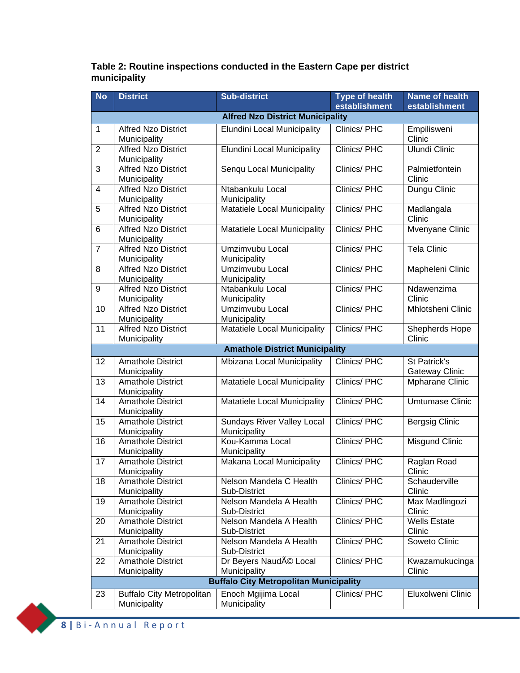#### **Table 2: Routine inspections conducted in the Eastern Cape per district municipality**

| <b>No</b>        | <b>District</b>                                  | <b>Sub-district</b>                           | <b>Type of health</b><br>establishment | Name of health<br>establishment       |  |
|------------------|--------------------------------------------------|-----------------------------------------------|----------------------------------------|---------------------------------------|--|
|                  | <b>Alfred Nzo District Municipality</b>          |                                               |                                        |                                       |  |
| 1                | <b>Alfred Nzo District</b><br>Municipality       | <b>Elundini Local Municipality</b>            | Clinics/PHC                            | Empilisweni<br>Clinic                 |  |
| $\overline{2}$   | <b>Alfred Nzo District</b><br>Municipality       | <b>Elundini Local Municipality</b>            | Clinics/PHC                            | Ulundi Clinic                         |  |
| 3                | <b>Alfred Nzo District</b><br>Municipality       | Senqu Local Municipality                      | Clinics/PHC                            | Palmietfontein<br>Clinic              |  |
| $\overline{4}$   | <b>Alfred Nzo District</b><br>Municipality       | Ntabankulu Local<br>Municipality              | Clinics/PHC                            | Dungu Clinic                          |  |
| 5                | <b>Alfred Nzo District</b><br>Municipality       | Matatiele Local Municipality                  | Clinics/PHC                            | Madlangala<br>Clinic                  |  |
| 6                | <b>Alfred Nzo District</b><br>Municipality       | Matatiele Local Municipality                  | Clinics/PHC                            | Mvenyane Clinic                       |  |
| $\overline{7}$   | <b>Alfred Nzo District</b><br>Municipality       | Umzimvubu Local<br>Municipality               | Clinics/PHC                            | <b>Tela Clinic</b>                    |  |
| 8                | <b>Alfred Nzo District</b><br>Municipality       | Umzimvubu Local<br>Municipality               | Clinics/PHC                            | Mapheleni Clinic                      |  |
| $\boldsymbol{9}$ | <b>Alfred Nzo District</b><br>Municipality       | Ntabankulu Local<br>Municipality              | Clinics/PHC                            | Ndawenzima<br>Clinic                  |  |
| 10               | <b>Alfred Nzo District</b><br>Municipality       | Umzimvubu Local<br>Municipality               | Clinics/PHC                            | Mhlotsheni Clinic                     |  |
| 11               | <b>Alfred Nzo District</b><br>Municipality       | Matatiele Local Municipality                  | Clinics/PHC                            | Shepherds Hope<br>Clinic              |  |
|                  |                                                  | <b>Amathole District Municipality</b>         |                                        |                                       |  |
| 12               | <b>Amathole District</b><br>Municipality         | Mbizana Local Municipality                    | Clinics/PHC                            | St Patrick's<br><b>Gateway Clinic</b> |  |
| 13               | <b>Amathole District</b><br>Municipality         | Matatiele Local Municipality                  | Clinics/PHC                            | Mpharane Clinic                       |  |
| 14               | <b>Amathole District</b><br>Municipality         | Matatiele Local Municipality                  | Clinics/PHC                            | <b>Umtumase Clinic</b>                |  |
| 15               | <b>Amathole District</b><br>Municipality         | Sundays River Valley Local<br>Municipality    | Clinics/PHC                            | <b>Bergsig Clinic</b>                 |  |
| 16               | <b>Amathole District</b><br>Municipality         | Kou-Kamma Local<br>Municipality               | Clinics/PHC                            | <b>Misgund Clinic</b>                 |  |
| 17               | <b>Amathole District</b><br>Municipality         | Makana Local Municipality                     | Clinics/PHC                            | Raglan Road<br>Clinic                 |  |
| 18               | <b>Amathole District</b><br>Municipality         | Nelson Mandela C Health<br>Sub-District       | Clinics/PHC                            | Schauderville<br>Clinic               |  |
| 19               | <b>Amathole District</b><br>Municipality         | Nelson Mandela A Health<br>Sub-District       | Clinics/PHC                            | Max Madlingozi<br>Clinic              |  |
| 20               | <b>Amathole District</b><br>Municipality         | Nelson Mandela A Health<br>Sub-District       | Clinics/PHC                            | <b>Wells Estate</b><br>Clinic         |  |
| 21               | <b>Amathole District</b><br>Municipality         | Nelson Mandela A Health<br>Sub-District       | Clinics/PHC                            | Soweto Clinic                         |  |
| 22               | <b>Amathole District</b><br>Municipality         | Dr Beyers Naudé Local<br>Municipality         | Clinics/PHC                            | Kwazamukucinga<br>Clinic              |  |
|                  |                                                  | <b>Buffalo City Metropolitan Municipality</b> |                                        |                                       |  |
| 23               | <b>Buffalo City Metropolitan</b><br>Municipality | Enoch Mgijima Local<br>Municipality           | Clinics/PHC                            | Eluxolweni Clinic                     |  |

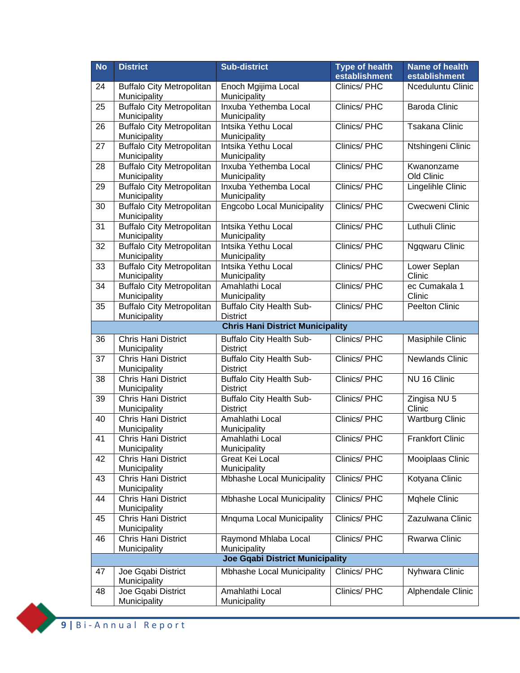| <b>No</b> | <b>District</b>                                  | <b>Sub-district</b>                                | <b>Type of health</b><br>establishment | <b>Name of health</b><br>establishment |
|-----------|--------------------------------------------------|----------------------------------------------------|----------------------------------------|----------------------------------------|
| 24        |                                                  |                                                    | Clinics/PHC                            | Nceduluntu Clinic                      |
|           | <b>Buffalo City Metropolitan</b><br>Municipality | Enoch Mgijima Local<br>Municipality                |                                        |                                        |
| 25        | <b>Buffalo City Metropolitan</b><br>Municipality | Inxuba Yethemba Local<br>Municipality              | Clinics/PHC                            | <b>Baroda Clinic</b>                   |
| 26        | <b>Buffalo City Metropolitan</b><br>Municipality | Intsika Yethu Local<br>Municipality                | Clinics/PHC                            | <b>Tsakana Clinic</b>                  |
|           | <b>Buffalo City Metropolitan</b>                 | Intsika Yethu Local                                | Clinics/PHC                            |                                        |
| 27        | Municipality                                     | Municipality                                       |                                        | Ntshingeni Clinic                      |
| 28        | <b>Buffalo City Metropolitan</b><br>Municipality | Inxuba Yethemba Local<br>Municipality              | Clinics/PHC                            | Kwanonzame<br>Old Clinic               |
| 29        | <b>Buffalo City Metropolitan</b><br>Municipality | Inxuba Yethemba Local<br>Municipality              | Clinics/PHC                            | Lingelihle Clinic                      |
| 30        | <b>Buffalo City Metropolitan</b><br>Municipality | <b>Engcobo Local Municipality</b>                  | Clinics/PHC                            | Cwecweni Clinic                        |
| 31        | <b>Buffalo City Metropolitan</b>                 | Intsika Yethu Local                                | Clinics/PHC                            | Luthuli Clinic                         |
|           | Municipality                                     | Municipality<br>Intsika Yethu Local                | Clinics/PHC                            |                                        |
| 32        | <b>Buffalo City Metropolitan</b><br>Municipality | Municipality                                       |                                        | Ngqwaru Clinic                         |
| 33        | <b>Buffalo City Metropolitan</b><br>Municipality | Intsika Yethu Local<br>Municipality                | Clinics/PHC                            | Lower Seplan<br>Clinic                 |
| 34        | <b>Buffalo City Metropolitan</b><br>Municipality | Amahlathi Local<br>Municipality                    | Clinics/PHC                            | ec Cumakala 1<br>Clinic                |
| 35        | <b>Buffalo City Metropolitan</b>                 | <b>Buffalo City Health Sub-</b>                    | Clinics/PHC                            | Peelton Clinic                         |
|           | Municipality                                     | <b>District</b>                                    |                                        |                                        |
|           |                                                  | <b>Chris Hani District Municipality</b>            |                                        |                                        |
| 36        | Chris Hani District<br>Municipality              | <b>Buffalo City Health Sub-</b><br><b>District</b> | Clinics/PHC                            | <b>Masiphile Clinic</b>                |
| 37        | Chris Hani District<br>Municipality              | <b>Buffalo City Health Sub-</b><br><b>District</b> | Clinics/PHC                            | <b>Newlands Clinic</b>                 |
| 38        | Chris Hani District                              | <b>Buffalo City Health Sub-</b><br><b>District</b> | Clinics/PHC                            | NU 16 Clinic                           |
|           | Municipality<br><b>Chris Hani District</b>       | <b>Buffalo City Health Sub-</b>                    | Clinics/PHC                            |                                        |
| 39        | Municipality                                     | <b>District</b>                                    |                                        | Zingisa NU 5<br>Clinic                 |
| 40        | <b>Chris Hani District</b><br>Municipality       | Amahlathi Local<br>Municipality                    | Clinics/PHC                            | <b>Wartburg Clinic</b>                 |
| 41        | Chris Hani District<br>Municipality              | Amahlathi Local<br>Municipality                    | Clinics/PHC                            | <b>Frankfort Clinic</b>                |
| 42        | <b>Chris Hani District</b><br>Municipality       | <b>Great Kei Local</b>                             | Clinics/ PHC                           | Mooiplaas Clinic                       |
| 43        | Chris Hani District                              | Municipality<br>Mbhashe Local Municipality         | Clinics/PHC                            | Kotyana Clinic                         |
| 44        | Municipality<br><b>Chris Hani District</b>       | <b>Mbhashe Local Municipality</b>                  | Clinics/PHC                            | Mqhele Clinic                          |
|           | Municipality                                     |                                                    |                                        |                                        |
| 45        | <b>Chris Hani District</b><br>Municipality       | Mnquma Local Municipality                          | Clinics/PHC                            | Zazulwana Clinic                       |
| 46        | Chris Hani District<br>Municipality              | Raymond Mhlaba Local<br>Municipality               | Clinics/PHC                            | Rwarwa Clinic                          |
|           |                                                  | <b>Joe Gqabi District Municipality</b>             |                                        |                                        |
| 47        | Joe Gqabi District                               | Mbhashe Local Municipality                         | Clinics/ PHC                           | Nyhwara Clinic                         |
|           | Municipality                                     |                                                    |                                        |                                        |
| 48        | Joe Gqabi District<br>Municipality               | Amahlathi Local<br>Municipality                    | Clinics/PHC                            | Alphendale Clinic                      |

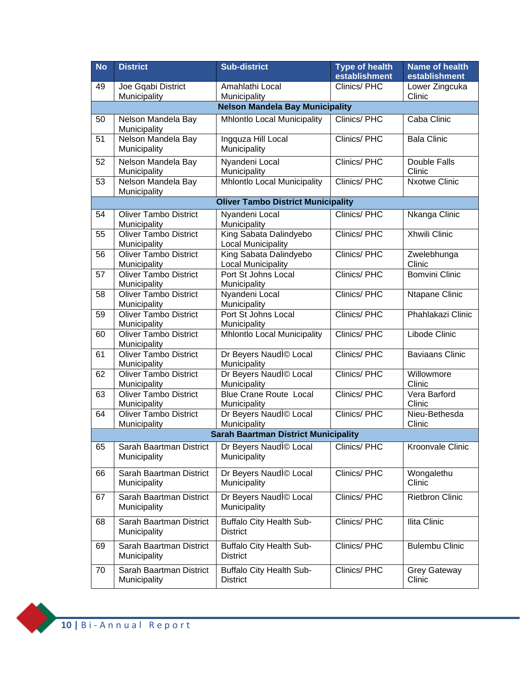| <b>No</b> | <b>District</b>                              | <b>Sub-district</b>                                 | <b>Type of health</b> | <b>Name of health</b>         |
|-----------|----------------------------------------------|-----------------------------------------------------|-----------------------|-------------------------------|
|           |                                              |                                                     | establishment         | establishment                 |
| 49        | Joe Gqabi District<br>Municipality           | Amahlathi Local<br>Municipality                     | Clinics/PHC           | Lower Zingcuka<br>Clinic      |
|           |                                              | <b>Nelson Mandela Bay Municipality</b>              |                       |                               |
| 50        | Nelson Mandela Bay<br>Municipality           | <b>Mhlontlo Local Municipality</b>                  | Clinics/PHC           | Caba Clinic                   |
| 51        | Nelson Mandela Bay<br>Municipality           | Ingquza Hill Local<br>Municipality                  | Clinics/PHC           | <b>Bala Clinic</b>            |
| 52        | Nelson Mandela Bay<br>Municipality           | Nyandeni Local<br>Municipality                      | Clinics/PHC           | Double Falls<br>Clinic        |
| 53        | Nelson Mandela Bay<br>Municipality           | <b>Mhlontlo Local Municipality</b>                  | Clinics/PHC           | <b>Nxotwe Clinic</b>          |
|           |                                              | <b>Oliver Tambo District Municipality</b>           |                       |                               |
| 54        | <b>Oliver Tambo District</b><br>Municipality | Nyandeni Local<br>Municipality                      | Clinics/PHC           | Nkanga Clinic                 |
| 55        | <b>Oliver Tambo District</b><br>Municipality | King Sabata Dalindyebo<br><b>Local Municipality</b> | Clinics/PHC           | Xhwili Clinic                 |
| 56        | <b>Oliver Tambo District</b><br>Municipality | King Sabata Dalindyebo<br><b>Local Municipality</b> | Clinics/PHC           | Zwelebhunga<br>Clinic         |
| 57        | Oliver Tambo District<br>Municipality        | Port St Johns Local<br>Municipality                 | Clinics/PHC           | <b>Bomvini Clinic</b>         |
| 58        | <b>Oliver Tambo District</b><br>Municipality | Nyandeni Local<br>Municipality                      | Clinics/PHC           | Ntapane Clinic                |
| 59        | <b>Oliver Tambo District</b><br>Municipality | Port St Johns Local<br>Municipality                 | Clinics/PHC           | Phahlakazi Clinic             |
| 60        | <b>Oliver Tambo District</b><br>Municipality | <b>Mhlontlo Local Municipality</b>                  | Clinics/PHC           | Libode Clinic                 |
| 61        | <b>Oliver Tambo District</b><br>Municipality | Dr Beyers Naudl <sup>o</sup> Local<br>Municipality  | Clinics/PHC           | <b>Baviaans Clinic</b>        |
| 62        | <b>Oliver Tambo District</b><br>Municipality | Dr Beyers Naudl <sup>o</sup> Local<br>Municipality  | Clinics/PHC           | Willowmore<br>Clinic          |
| 63        | <b>Oliver Tambo District</b><br>Municipality | <b>Blue Crane Route Local</b><br>Municipality       | <b>Clinics/PHC</b>    | Vera Barford<br>Clinic        |
| 64        | <b>Oliver Tambo District</b><br>Municipality | Dr Beyers Naudl© Local<br>Municipality              | Clinics/PHC           | Nieu-Bethesda<br>Clinic       |
|           |                                              | <b>Sarah Baartman District Municipality</b>         |                       |                               |
| 65        | Sarah Baartman District<br>Municipality      | Dr Beyers Naudl <sup>©</sup> Local<br>Municipality  | Clinics/PHC           | Kroonvale Clinic              |
| 66        | Sarah Baartman District<br>Municipality      | Dr Beyers Naudl© Local<br>Municipality              | Clinics/PHC           | Wongalethu<br>Clinic          |
| 67        | Sarah Baartman District<br>Municipality      | Dr Beyers Naudl© Local<br>Municipality              | Clinics/PHC           | <b>Rietbron Clinic</b>        |
| 68        | Sarah Baartman District<br>Municipality      | <b>Buffalo City Health Sub-</b><br><b>District</b>  | Clinics/PHC           | Ilita Clinic                  |
| 69        | Sarah Baartman District<br>Municipality      | <b>Buffalo City Health Sub-</b><br><b>District</b>  | Clinics/PHC           | <b>Bulembu Clinic</b>         |
| 70        | Sarah Baartman District<br>Municipality      | <b>Buffalo City Health Sub-</b><br><b>District</b>  | Clinics/PHC           | <b>Grey Gateway</b><br>Clinic |

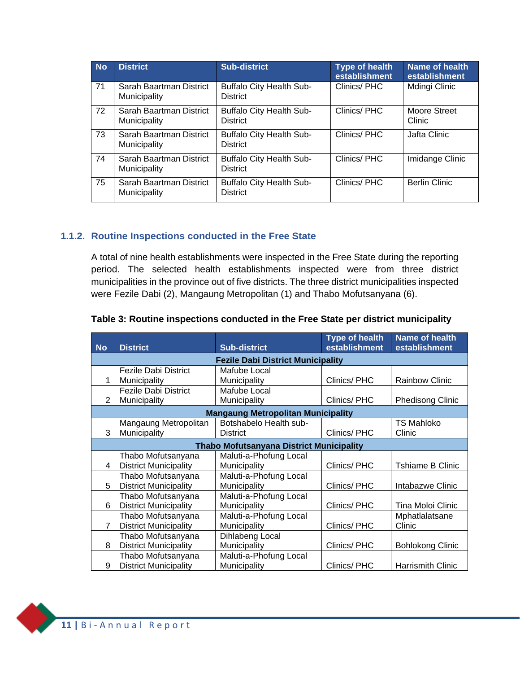| <b>No</b> | <b>District</b>                         | <b>Sub-district</b>                                | <b>Type of health</b><br>establishment | Name of health<br>establishment |
|-----------|-----------------------------------------|----------------------------------------------------|----------------------------------------|---------------------------------|
| 71        | Sarah Baartman District<br>Municipality | <b>Buffalo City Health Sub-</b><br><b>District</b> | Clinics/PHC                            | Mdingi Clinic                   |
| 72        | Sarah Baartman District<br>Municipality | <b>Buffalo City Health Sub-</b><br><b>District</b> | Clinics/PHC                            | Moore Street<br>Clinic          |
| 73        | Sarah Baartman District<br>Municipality | <b>Buffalo City Health Sub-</b><br><b>District</b> | Clinics/PHC                            | Jafta Clinic                    |
| 74        | Sarah Baartman District<br>Municipality | <b>Buffalo City Health Sub-</b><br><b>District</b> | Clinics/PHC                            | Imidange Clinic                 |
| 75        | Sarah Baartman District<br>Municipality | <b>Buffalo City Health Sub-</b><br><b>District</b> | Clinics/PHC                            | <b>Berlin Clinic</b>            |

#### **1.1.2. Routine Inspections conducted in the Free State**

<span id="page-12-0"></span>A total of nine health establishments were inspected in the Free State during the reporting period. The selected health establishments inspected were from three district municipalities in the province out of five districts. The three district municipalities inspected were Fezile Dabi (2), Mangaung Metropolitan (1) and Thabo Mofutsanyana (6).

| <b>No</b>      | <b>District</b>                           | <b>Sub-district</b>                             | <b>Type of health</b><br>establishment | <b>Name of health</b><br>establishment |  |
|----------------|-------------------------------------------|-------------------------------------------------|----------------------------------------|----------------------------------------|--|
|                | <b>Fezile Dabi District Municipality</b>  |                                                 |                                        |                                        |  |
|                | <b>Fezile Dabi District</b>               | Mafube Local                                    |                                        |                                        |  |
| 1              | Municipality                              | Municipality                                    | Clinics/PHC                            | <b>Rainbow Clinic</b>                  |  |
|                | <b>Fezile Dabi District</b>               | Mafube Local                                    |                                        |                                        |  |
| 2              | Municipality                              | Municipality                                    | Clinics/PHC                            | <b>Phedisong Clinic</b>                |  |
|                | <b>Mangaung Metropolitan Municipality</b> |                                                 |                                        |                                        |  |
|                | Mangaung Metropolitan                     | Botshabelo Health sub-                          |                                        | <b>TS Mahloko</b>                      |  |
| 3              | Municipality                              | <b>District</b>                                 | Clinics/PHC                            | Clinic                                 |  |
|                |                                           | <b>Thabo Mofutsanyana District Municipality</b> |                                        |                                        |  |
|                | Thabo Mofutsanyana                        | Maluti-a-Phofung Local                          |                                        |                                        |  |
| 4              | <b>District Municipality</b>              | Municipality                                    | Clinics/PHC                            | Tshiame B Clinic                       |  |
|                | Thabo Mofutsanyana                        | Maluti-a-Phofung Local                          |                                        |                                        |  |
| 5              | <b>District Municipality</b>              | Municipality                                    | Clinics/PHC                            | Intabazwe Clinic                       |  |
|                | Thabo Mofutsanyana                        | Maluti-a-Phofung Local                          |                                        |                                        |  |
| 6              | <b>District Municipality</b>              | Municipality                                    | Clinics/PHC                            | Tina Moloi Clinic                      |  |
|                | Thabo Mofutsanyana                        | Maluti-a-Phofung Local                          |                                        | Mphatlalatsane                         |  |
| $\overline{7}$ | <b>District Municipality</b>              | Municipality                                    | Clinics/PHC                            | Clinic                                 |  |
|                | Thabo Mofutsanyana                        | Dihlabeng Local                                 |                                        |                                        |  |
| 8              | <b>District Municipality</b>              | Municipality                                    | Clinics/PHC                            | <b>Bohlokong Clinic</b>                |  |
|                | Thabo Mofutsanyana                        | Maluti-a-Phofung Local                          |                                        |                                        |  |
| 9              | <b>District Municipality</b>              | Municipality                                    | Clinics/PHC                            | <b>Harrismith Clinic</b>               |  |

#### **Table 3: Routine inspections conducted in the Free State per district municipality**

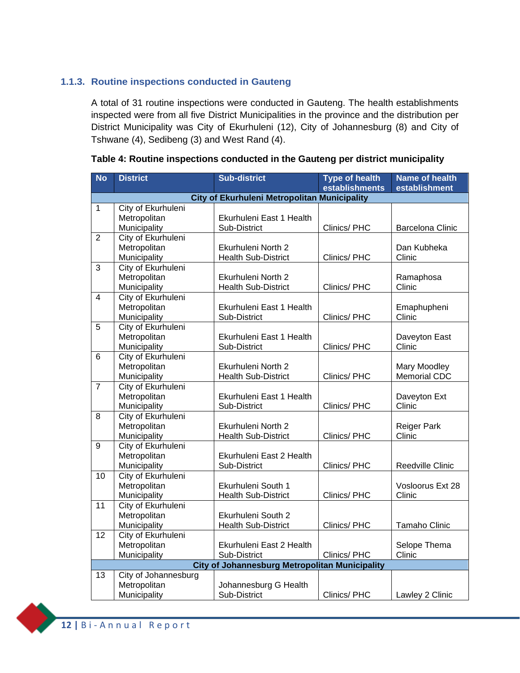#### **1.1.3. Routine inspections conducted in Gauteng**

<span id="page-13-0"></span>A total of 31 routine inspections were conducted in Gauteng. The health establishments inspected were from all five District Municipalities in the province and the distribution per District Municipality was City of Ekurhuleni (12), City of Johannesburg (8) and City of Tshwane (4), Sedibeng (3) and West Rand (4).

| <b>No</b>       | <b>District</b>      | <b>Sub-district</b>                                   | <b>Type of health</b> | Name of health          |
|-----------------|----------------------|-------------------------------------------------------|-----------------------|-------------------------|
|                 |                      |                                                       | establishments        | establishment           |
|                 |                      | <b>City of Ekurhuleni Metropolitan Municipality</b>   |                       |                         |
| $\mathbf{1}$    | City of Ekurhuleni   |                                                       |                       |                         |
|                 | Metropolitan         | Ekurhuleni East 1 Health                              |                       |                         |
|                 | Municipality         | Sub-District                                          | Clinics/ PHC          | <b>Barcelona Clinic</b> |
| $\overline{2}$  | City of Ekurhuleni   |                                                       |                       |                         |
|                 | Metropolitan         | Ekurhuleni North 2                                    |                       | Dan Kubheka             |
|                 | Municipality         | <b>Health Sub-District</b>                            | Clinics/ PHC          | Clinic                  |
| $\overline{3}$  | City of Ekurhuleni   |                                                       |                       |                         |
|                 | Metropolitan         | Ekurhuleni North 2                                    |                       | Ramaphosa               |
|                 | Municipality         | <b>Health Sub-District</b>                            | Clinics/ PHC          | Clinic                  |
| $\overline{4}$  | City of Ekurhuleni   |                                                       |                       |                         |
|                 | Metropolitan         | Ekurhuleni East 1 Health                              |                       | Emaphupheni             |
|                 | Municipality         | Sub-District                                          | Clinics/PHC           | Clinic                  |
| $\overline{5}$  | City of Ekurhuleni   |                                                       |                       |                         |
|                 | Metropolitan         | Ekurhuleni East 1 Health                              |                       | Daveyton East           |
|                 | Municipality         | Sub-District                                          | Clinics/ PHC          | Clinic                  |
| $\overline{6}$  | City of Ekurhuleni   |                                                       |                       |                         |
|                 | Metropolitan         | Ekurhuleni North 2                                    |                       | Mary Moodley            |
|                 | Municipality         | <b>Health Sub-District</b>                            | Clinics/ PHC          | <b>Memorial CDC</b>     |
| $\overline{7}$  | City of Ekurhuleni   |                                                       |                       |                         |
|                 | Metropolitan         | Ekurhuleni East 1 Health                              |                       | Daveyton Ext            |
|                 | Municipality         | Sub-District                                          | Clinics/PHC           | Clinic                  |
| 8               | City of Ekurhuleni   |                                                       |                       |                         |
|                 | Metropolitan         | Ekurhuleni North 2                                    |                       | <b>Reiger Park</b>      |
|                 | Municipality         | <b>Health Sub-District</b>                            | Clinics/PHC           | Clinic                  |
| 9               | City of Ekurhuleni   |                                                       |                       |                         |
|                 | Metropolitan         | Ekurhuleni East 2 Health                              |                       |                         |
|                 | Municipality         | Sub-District                                          | Clinics/PHC           | Reedville Clinic        |
| 10              | City of Ekurhuleni   |                                                       |                       |                         |
|                 | Metropolitan         | Ekurhuleni South 1                                    |                       | Vosloorus Ext 28        |
|                 | Municipality         | <b>Health Sub-District</b>                            | Clinics/ PHC          | Clinic                  |
| $\overline{11}$ | City of Ekurhuleni   |                                                       |                       |                         |
|                 | Metropolitan         | Ekurhuleni South 2                                    |                       |                         |
|                 | Municipality         | <b>Health Sub-District</b>                            | Clinics/ PHC          | Tamaho Clinic           |
| $\overline{12}$ | City of Ekurhuleni   |                                                       |                       |                         |
|                 | Metropolitan         | Ekurhuleni East 2 Health                              |                       | Selope Thema            |
|                 | Municipality         | Sub-District                                          | Clinics/PHC           | Clinic                  |
|                 |                      | <b>City of Johannesburg Metropolitan Municipality</b> |                       |                         |
| 13              | City of Johannesburg |                                                       |                       |                         |
|                 | Metropolitan         | Johannesburg G Health                                 |                       |                         |
|                 | Municipality         | Sub-District                                          | Clinics/ PHC          | Lawley 2 Clinic         |

#### **Table 4: Routine inspections conducted in the Gauteng per district municipality**

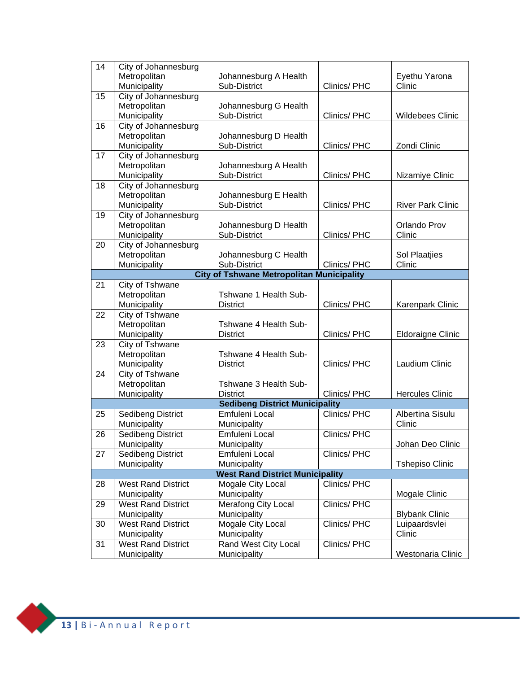| 14 | City of Johannesburg                      |                                                  |              |                          |
|----|-------------------------------------------|--------------------------------------------------|--------------|--------------------------|
|    | Metropolitan                              | Johannesburg A Health                            |              | Eyethu Yarona            |
|    | Municipality                              | Sub-District                                     | Clinics/PHC  | Clinic                   |
| 15 | City of Johannesburg                      |                                                  |              |                          |
|    | Metropolitan                              | Johannesburg G Health                            |              |                          |
|    | Municipality                              | Sub-District                                     | Clinics/PHC  | Wildebees Clinic         |
| 16 | City of Johannesburg                      |                                                  |              |                          |
|    |                                           |                                                  |              |                          |
|    | Metropolitan                              | Johannesburg D Health                            |              |                          |
|    | Municipality                              | Sub-District                                     | Clinics/PHC  | Zondi Clinic             |
| 17 | City of Johannesburg                      |                                                  |              |                          |
|    | Metropolitan                              | Johannesburg A Health                            |              |                          |
|    | Municipality                              | Sub-District                                     | Clinics/PHC  | Nizamiye Clinic          |
| 18 | City of Johannesburg                      |                                                  |              |                          |
|    | Metropolitan                              | Johannesburg E Health                            |              |                          |
|    | Municipality                              | Sub-District                                     | Clinics/PHC  | <b>River Park Clinic</b> |
| 19 | City of Johannesburg                      |                                                  |              |                          |
|    | Metropolitan                              | Johannesburg D Health                            |              | Orlando Prov             |
|    | Municipality                              | Sub-District                                     | Clinics/PHC  | Clinic                   |
| 20 | City of Johannesburg                      |                                                  |              |                          |
|    | Metropolitan                              | Johannesburg C Health                            |              | Sol Plaatjies            |
|    | Municipality                              | Sub-District                                     | Clinics/PHC  | Clinic                   |
|    |                                           | <b>City of Tshwane Metropolitan Municipality</b> |              |                          |
| 21 | City of Tshwane                           |                                                  |              |                          |
|    | Metropolitan                              | Tshwane 1 Health Sub-                            |              |                          |
|    | Municipality                              | <b>District</b>                                  | Clinics/PHC  | Karenpark Clinic         |
| 22 | City of Tshwane                           |                                                  |              |                          |
|    | Metropolitan                              | Tshwane 4 Health Sub-                            |              |                          |
|    | Municipality                              | <b>District</b>                                  | Clinics/PHC  | Eldoraigne Clinic        |
| 23 | City of Tshwane                           |                                                  |              |                          |
|    | Metropolitan                              | Tshwane 4 Health Sub-                            |              |                          |
|    | Municipality                              | <b>District</b>                                  | Clinics/PHC  | Laudium Clinic           |
| 24 | City of Tshwane                           |                                                  |              |                          |
|    | Metropolitan                              | Tshwane 3 Health Sub-                            |              |                          |
|    | Municipality                              | <b>District</b>                                  | Clinics/PHC  | <b>Hercules Clinic</b>   |
|    |                                           | <b>Sedibeng District Municipality</b>            |              |                          |
| 25 | Sedibeng District                         | Emfuleni Local                                   | Clinics/ PHC | Albertina Sisulu         |
|    | Municipality                              | Municipality                                     |              | Clinic                   |
| 26 | Sedibeng District                         | Emfuleni Local                                   | Clinics/ PHC |                          |
|    |                                           |                                                  |              | Johan Deo Clinic         |
|    | <b>Municipality</b>                       | Municipality                                     |              |                          |
| 27 | Sedibeng District                         | Emfuleni Local                                   | Clinics/PHC  |                          |
|    | Municipality                              | Municipality                                     |              | <b>Tshepiso Clinic</b>   |
|    |                                           | <b>West Rand District Municipality</b>           |              |                          |
| 28 | <b>West Rand District</b>                 | Mogale City Local                                | Clinics/PHC  |                          |
|    | Municipality                              | Municipality                                     |              | Mogale Clinic            |
| 29 | <b>West Rand District</b>                 | <b>Merafong City Local</b>                       | Clinics/PHC  |                          |
|    | Municipality                              | Municipality                                     |              | <b>Blybank Clinic</b>    |
| 30 | <b>West Rand District</b>                 | Mogale City Local                                | Clinics/ PHC | Luipaardsvlei            |
|    | Municipality                              | Municipality                                     |              | Clinic                   |
| 31 |                                           |                                                  |              |                          |
|    | <b>West Rand District</b><br>Municipality | Rand West City Local<br>Municipality             | Clinics/ PHC | Westonaria Clinic        |

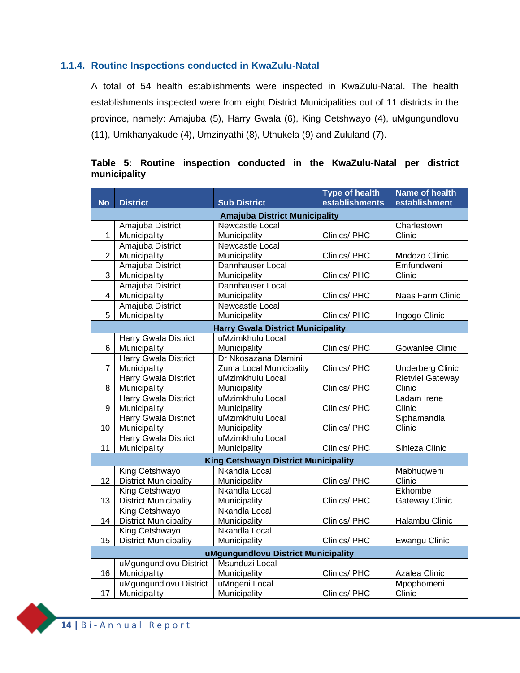#### **1.1.4. Routine Inspections conducted in KwaZulu-Natal**

<span id="page-15-0"></span>A total of 54 health establishments were inspected in KwaZulu-Natal. The health establishments inspected were from eight District Municipalities out of 11 districts in the province, namely: Amajuba (5), Harry Gwala (6), King Cetshwayo (4), uMgungundlovu (11), Umkhanyakude (4), Umzinyathi (8), Uthukela (9) and Zululand (7).

#### **Table 5: Routine inspection conducted in the KwaZulu-Natal per district municipality**

| establishments<br><b>No</b><br><b>District</b><br><b>Sub District</b><br>establishment<br><b>Amajuba District Municipality</b><br>Newcastle Local<br>Amajuba District<br>Charlestown<br>$\mathbf{1}$<br>Municipality<br>Clinics/PHC<br>Clinic<br>Municipality<br>Amajuba District<br>Newcastle Local<br>$\overline{2}$<br>Municipality<br>Mndozo Clinic<br>Municipality<br>Clinics/ PHC<br>Amajuba District<br>Emfundweni<br>Dannhauser Local |  |
|-----------------------------------------------------------------------------------------------------------------------------------------------------------------------------------------------------------------------------------------------------------------------------------------------------------------------------------------------------------------------------------------------------------------------------------------------|--|
|                                                                                                                                                                                                                                                                                                                                                                                                                                               |  |
|                                                                                                                                                                                                                                                                                                                                                                                                                                               |  |
|                                                                                                                                                                                                                                                                                                                                                                                                                                               |  |
|                                                                                                                                                                                                                                                                                                                                                                                                                                               |  |
|                                                                                                                                                                                                                                                                                                                                                                                                                                               |  |
|                                                                                                                                                                                                                                                                                                                                                                                                                                               |  |
| 3<br>Municipality<br>Clinic<br>Municipality<br>Clinics/PHC                                                                                                                                                                                                                                                                                                                                                                                    |  |
| Amajuba District<br>Dannhauser Local                                                                                                                                                                                                                                                                                                                                                                                                          |  |
| Municipality<br>$\overline{4}$<br>Municipality<br>Naas Farm Clinic<br>Clinics/PHC                                                                                                                                                                                                                                                                                                                                                             |  |
| Amajuba District<br>Newcastle Local                                                                                                                                                                                                                                                                                                                                                                                                           |  |
| 5<br>Municipality<br>Municipality<br>Clinics/PHC<br>Ingogo Clinic                                                                                                                                                                                                                                                                                                                                                                             |  |
| <b>Harry Gwala District Municipality</b>                                                                                                                                                                                                                                                                                                                                                                                                      |  |
| uMzimkhulu Local<br><b>Harry Gwala District</b>                                                                                                                                                                                                                                                                                                                                                                                               |  |
| 6<br>Municipality<br>Clinics/PHC<br>Municipality<br><b>Gowanlee Clinic</b>                                                                                                                                                                                                                                                                                                                                                                    |  |
| <b>Harry Gwala District</b><br>Dr Nkosazana Dlamini                                                                                                                                                                                                                                                                                                                                                                                           |  |
| $\overline{7}$<br>Municipality<br>Zuma Local Municipality<br>Clinics/PHC<br><b>Underberg Clinic</b>                                                                                                                                                                                                                                                                                                                                           |  |
| Harry Gwala District<br>Rietvlei Gateway<br>uMzimkhulu Local                                                                                                                                                                                                                                                                                                                                                                                  |  |
| Clinic<br>8<br>Municipality<br>Municipality<br>Clinics/PHC                                                                                                                                                                                                                                                                                                                                                                                    |  |
| <b>Harry Gwala District</b><br>uMzimkhulu Local<br>Ladam Irene                                                                                                                                                                                                                                                                                                                                                                                |  |
| 9<br>Clinics/PHC<br>Clinic<br>Municipality<br>Municipality                                                                                                                                                                                                                                                                                                                                                                                    |  |
| Harry Gwala District<br>Siphamandla<br>uMzimkhulu Local                                                                                                                                                                                                                                                                                                                                                                                       |  |
| 10<br>Municipality<br>Clinic<br>Municipality<br>Clinics/ PHC                                                                                                                                                                                                                                                                                                                                                                                  |  |
| <b>Harry Gwala District</b><br>uMzimkhulu Local                                                                                                                                                                                                                                                                                                                                                                                               |  |
| 11<br>Municipality<br>Municipality<br>Clinics/PHC<br>Sihleza Clinic                                                                                                                                                                                                                                                                                                                                                                           |  |
| <b>King Cetshwayo District Municipality</b>                                                                                                                                                                                                                                                                                                                                                                                                   |  |
| King Cetshwayo<br>Nkandla Local<br>Mabhuqweni                                                                                                                                                                                                                                                                                                                                                                                                 |  |
| 12<br><b>District Municipality</b><br>Clinic<br>Municipality<br>Clinics/PHC                                                                                                                                                                                                                                                                                                                                                                   |  |
| Ekhombe<br>King Cetshwayo<br>Nkandla Local                                                                                                                                                                                                                                                                                                                                                                                                    |  |
| 13<br><b>District Municipality</b><br>Gateway Clinic<br>Municipality<br>Clinics/ PHC                                                                                                                                                                                                                                                                                                                                                          |  |
| Nkandla Local<br>King Cetshwayo<br>14<br><b>District Municipality</b><br>Halambu Clinic                                                                                                                                                                                                                                                                                                                                                       |  |
| Municipality<br>Clinics/ PHC<br>King Cetshwayo<br>Nkandla Local                                                                                                                                                                                                                                                                                                                                                                               |  |
| 15<br><b>District Municipality</b><br>Municipality<br>Clinics/PHC<br>Ewangu Clinic                                                                                                                                                                                                                                                                                                                                                            |  |
|                                                                                                                                                                                                                                                                                                                                                                                                                                               |  |
| uMgungundlovu District Municipality<br>Msunduzi Local                                                                                                                                                                                                                                                                                                                                                                                         |  |
| uMgungundlovu District<br>16<br>Clinics/ PHC<br>Azalea Clinic                                                                                                                                                                                                                                                                                                                                                                                 |  |
| Municipality<br>Municipality<br>uMgungundlovu District<br>uMngeni Local<br>Mpophomeni                                                                                                                                                                                                                                                                                                                                                         |  |
| 17<br>Municipality<br>Clinic<br>Municipality<br>Clinics/PHC                                                                                                                                                                                                                                                                                                                                                                                   |  |

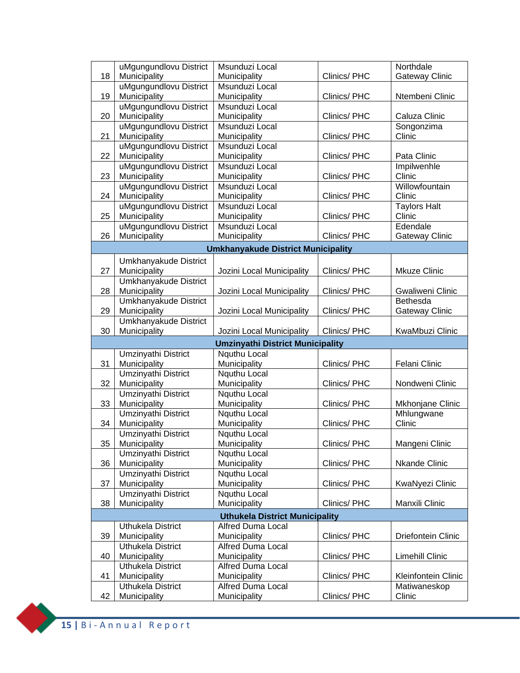|    | uMgungundlovu District              | Msunduzi Local                            |              | Northdale             |
|----|-------------------------------------|-------------------------------------------|--------------|-----------------------|
| 18 | Municipality                        | Municipality                              | Clinics/PHC  | <b>Gateway Clinic</b> |
|    | uMgungundlovu District              | Msunduzi Local                            |              |                       |
| 19 | Municipality                        | Municipality                              | Clinics/PHC  | Ntembeni Clinic       |
|    | uMgungundlovu District              | Msunduzi Local                            |              |                       |
| 20 | Municipality                        | Municipality                              | Clinics/PHC  | Caluza Clinic         |
|    | uMgungundlovu District              | Msunduzi Local                            |              | Songonzima            |
| 21 | Municipality                        | Municipality                              | Clinics/PHC  | Clinic                |
|    | uMgungundlovu District              | Msunduzi Local                            |              |                       |
| 22 | Municipality                        | Municipality                              | Clinics/ PHC | Pata Clinic           |
|    | uMgungundlovu District              | Msunduzi Local                            |              | Impilwenhle           |
| 23 | Municipality                        | Municipality                              | Clinics/PHC  | Clinic                |
|    | uMgungundlovu District              | Msunduzi Local                            |              | Willowfountain        |
| 24 | Municipality                        | Municipality                              | Clinics/PHC  | Clinic                |
|    | uMgungundlovu District              | Msunduzi Local                            |              | <b>Taylors Halt</b>   |
| 25 | Municipality                        | Municipality                              | Clinics/PHC  | Clinic                |
|    | uMgungundlovu District              | Msunduzi Local                            |              | Edendale              |
| 26 | Municipality                        | Municipality                              | Clinics/PHC  | Gateway Clinic        |
|    |                                     | <b>Umkhanyakude District Municipality</b> |              |                       |
|    | Umkhanyakude District               |                                           |              |                       |
| 27 | Municipality                        | Jozini Local Municipality                 | Clinics/PHC  | <b>Mkuze Clinic</b>   |
|    | Umkhanyakude District               |                                           |              |                       |
| 28 | Municipality                        | Jozini Local Municipality                 | Clinics/PHC  | Gwaliweni Clinic      |
|    | Umkhanyakude District               |                                           |              | Bethesda              |
| 29 | Municipality                        | Jozini Local Municipality                 | Clinics/PHC  | Gateway Clinic        |
|    | Umkhanyakude District               |                                           |              |                       |
| 30 | Municipality                        | Jozini Local Municipality                 | Clinics/PHC  | KwaMbuzi Clinic       |
|    |                                     | <b>Umzinyathi District Municipality</b>   |              |                       |
|    | Umzinyathi District                 | Nquthu Local                              |              |                       |
| 31 | Municipality                        | Municipality                              | Clinics/PHC  | Felani Clinic         |
|    | Umzinyathi District                 | Nquthu Local                              |              |                       |
| 32 | Municipality                        | Municipality                              | Clinics/ PHC | Nondweni Clinic       |
|    | <b>Umzinyathi District</b>          | Nquthu Local                              |              |                       |
| 33 | Municipality                        | Municipality                              | Clinics/PHC  | Mkhonjane Clinic      |
|    | Umzinyathi District                 | Nquthu Local                              |              | Mhlungwane<br>Clinic  |
| 34 | Municipality                        | Municipality                              | Clinics/PHC  |                       |
| 35 | Umzinyathi District                 | Nquthu Local                              | Clinics/ PHC | Mangeni Clinic        |
|    | Municipality<br>Umzinyathi District | <b>Municipality</b><br>Nguthu Local       |              |                       |
| 36 | Municipality                        | Municipality                              | Clinics/PHC  | <b>Nkande Clinic</b>  |
|    | Umzinyathi District                 | Nquthu Local                              |              |                       |
| 37 | Municipality                        | Municipality                              | Clinics/PHC  | KwaNyezi Clinic       |
|    | Umzinyathi District                 | Nquthu Local                              |              |                       |
| 38 | Municipality                        | Municipality                              | Clinics/PHC  | Manxili Clinic        |
|    |                                     | <b>Uthukela District Municipality</b>     |              |                       |
|    | <b>Uthukela District</b>            | <b>Alfred Duma Local</b>                  |              |                       |
| 39 | Municipality                        | Municipality                              | Clinics/PHC  | Driefontein Clinic    |
|    | <b>Uthukela District</b>            | Alfred Duma Local                         |              |                       |
| 40 | Municipality                        | Municipality                              | Clinics/PHC  | Limehill Clinic       |
|    | <b>Uthukela District</b>            | Alfred Duma Local                         |              |                       |
| 41 | Municipality                        | Municipality                              | Clinics/PHC  | Kleinfontein Clinic   |
|    | Uthukela District                   | <b>Alfred Duma Local</b>                  |              | Matiwaneskop          |
|    |                                     |                                           |              |                       |

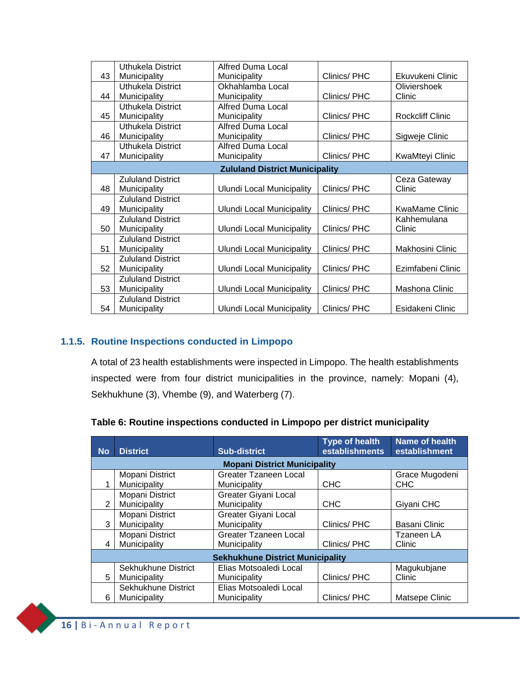|    | Uthukela District        | <b>Alfred Duma Local</b>              |             |                         |
|----|--------------------------|---------------------------------------|-------------|-------------------------|
| 43 | Municipality             | Municipality                          | Clinics/PHC | Ekuvukeni Clinic        |
|    | <b>Uthukela District</b> | Okhahlamba Local                      |             | Oliviershoek            |
| 44 | Municipality             | Municipality                          | Clinics/PHC | Clinic                  |
|    | Uthukela District        | <b>Alfred Duma Local</b>              |             |                         |
| 45 | Municipality             | Municipality                          | Clinics/PHC | <b>Rockcliff Clinic</b> |
|    | Uthukela District        | <b>Alfred Duma Local</b>              |             |                         |
| 46 | Municipality             | Municipality                          | Clinics/PHC | Sigweje Clinic          |
|    | <b>Uthukela District</b> | <b>Alfred Duma Local</b>              |             |                         |
| 47 | Municipality             | Municipality                          | Clinics/PHC | KwaMteyi Clinic         |
|    |                          | <b>Zululand District Municipality</b> |             |                         |
|    | <b>Zululand District</b> |                                       |             | Ceza Gateway            |
| 48 | Municipality             | <b>Ulundi Local Municipality</b>      | Clinics/PHC | Clinic                  |
|    | <b>Zululand District</b> |                                       |             |                         |
| 49 | Municipality             | <b>Ulundi Local Municipality</b>      | Clinics/PHC | <b>KwaMame Clinic</b>   |
|    | <b>Zululand District</b> |                                       |             | Kahhemulana             |
| 50 | Municipality             | <b>Ulundi Local Municipality</b>      | Clinics/PHC | Clinic                  |
|    | <b>Zululand District</b> |                                       |             |                         |
| 51 | Municipality             | <b>Ulundi Local Municipality</b>      | Clinics/PHC | Makhosini Clinic        |
|    | <b>Zululand District</b> |                                       |             |                         |
| 52 | Municipality             | <b>Ulundi Local Municipality</b>      | Clinics/PHC | Ezimfabeni Clinic       |
|    | <b>Zululand District</b> |                                       |             |                         |
| 53 | Municipality             | <b>Ulundi Local Municipality</b>      | Clinics/PHC | Mashona Clinic          |
|    | <b>Zululand District</b> |                                       |             |                         |
| 54 | Municipality             | <b>Ulundi Local Municipality</b>      | Clinics/PHC | Esidakeni Clinic        |

#### **1.1.5. Routine Inspections conducted in Limpopo**

<span id="page-17-0"></span>A total of 23 health establishments were inspected in Limpopo. The health establishments inspected were from four district municipalities in the province, namely: Mopani (4), Sekhukhune (3), Vhembe (9), and Waterberg (7).

#### **Table 6: Routine inspections conducted in Limpopo per district municipality**

| <b>No</b> | <b>District</b>                     | <b>Sub-district</b>                          | <b>Type of health</b><br>establishments | <b>Name of health</b><br>establishment |
|-----------|-------------------------------------|----------------------------------------------|-----------------------------------------|----------------------------------------|
|           |                                     | <b>Mopani District Municipality</b>          |                                         |                                        |
|           | Mopani District<br>Municipality     | Greater Tzaneen Local<br>Municipality        | <b>CHC</b>                              | Grace Mugodeni<br><b>CHC</b>           |
| 2         | Mopani District<br>Municipality     | <b>Greater Giyani Local</b><br>Municipality  | <b>CHC</b>                              | Giyani CHC                             |
| 3         | Mopani District<br>Municipality     | Greater Giyani Local<br>Municipality         | Clinics/PHC                             | Basani Clinic                          |
| 4         | Mopani District<br>Municipality     | <b>Greater Tzaneen Local</b><br>Municipality | Clinics/PHC                             | Tzaneen LA<br>Clinic                   |
|           |                                     | <b>Sekhukhune District Municipality</b>      |                                         |                                        |
| 5         | Sekhukhune District<br>Municipality | Elias Motsoaledi Local<br>Municipality       | Clinics/PHC                             | Magukubjane<br>Clinic                  |
| 6         | Sekhukhune District<br>Municipality | Elias Motsoaledi Local<br>Municipality       | Clinics/PHC                             | Matsepe Clinic                         |

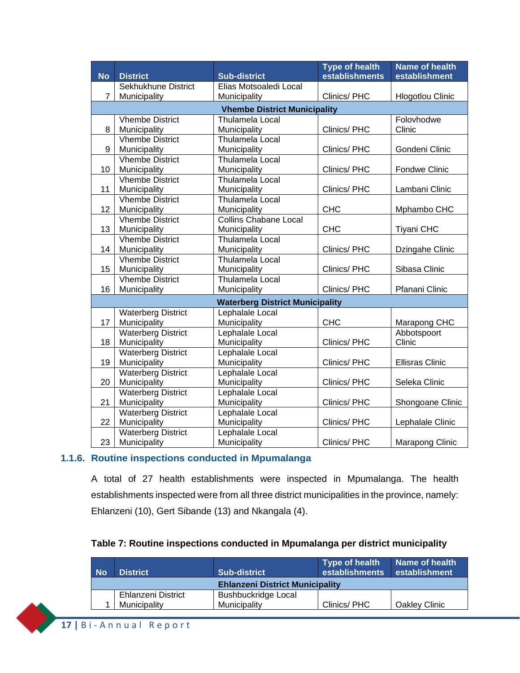|                |                                     |                                        | <b>Type of health</b> | <b>Name of health</b>   |  |  |
|----------------|-------------------------------------|----------------------------------------|-----------------------|-------------------------|--|--|
| <b>No</b>      | <b>District</b>                     | <b>Sub-district</b>                    | establishments        | establishment           |  |  |
|                | Sekhukhune District                 | Elias Motsoaledi Local                 |                       |                         |  |  |
| $\overline{7}$ | Municipality                        | Municipality                           | Clinics/PHC           | <b>Hlogotlou Clinic</b> |  |  |
|                | <b>Vhembe District Municipality</b> |                                        |                       |                         |  |  |
|                | <b>Vhembe District</b>              | Thulamela Local                        |                       | Folovhodwe              |  |  |
| 8              | Municipality                        | Municipality                           | Clinics/PHC           | Clinic                  |  |  |
|                | <b>Vhembe District</b>              | Thulamela Local                        |                       |                         |  |  |
| 9              | Municipality                        | Municipality                           | Clinics/ PHC          | Gondeni Clinic          |  |  |
|                | <b>Vhembe District</b>              | <b>Thulamela Local</b>                 |                       |                         |  |  |
| 10             | Municipality                        | Municipality                           | Clinics/PHC           | <b>Fondwe Clinic</b>    |  |  |
|                | <b>Vhembe District</b>              | Thulamela Local                        |                       |                         |  |  |
| 11             | Municipality                        | Municipality                           | Clinics/ PHC          | Lambani Clinic          |  |  |
|                | <b>Vhembe District</b>              | Thulamela Local                        |                       |                         |  |  |
| 12             | Municipality                        | Municipality                           | <b>CHC</b>            | Mphambo CHC             |  |  |
|                | <b>Vhembe District</b>              | <b>Collins Chabane Local</b>           |                       |                         |  |  |
| 13             | Municipality                        | Municipality                           | <b>CHC</b>            | <b>Tiyani CHC</b>       |  |  |
|                | <b>Vhembe District</b>              | Thulamela Local                        |                       |                         |  |  |
| 14             | Municipality                        | Municipality                           | Clinics/ PHC          | Dzingahe Clinic         |  |  |
|                | <b>Vhembe District</b>              | Thulamela Local                        |                       |                         |  |  |
| 15             | Municipality                        | Municipality                           | Clinics/PHC           | Sibasa Clinic           |  |  |
|                | <b>Vhembe District</b>              | Thulamela Local                        |                       |                         |  |  |
| 16             | Municipality                        | Municipality                           | Clinics/PHC           | Pfanani Clinic          |  |  |
|                |                                     | <b>Waterberg District Municipality</b> |                       |                         |  |  |
|                | <b>Waterberg District</b>           | Lephalale Local                        |                       |                         |  |  |
| 17             | Municipality                        | Municipality                           | <b>CHC</b>            | Marapong CHC            |  |  |
|                | <b>Waterberg District</b>           | Lephalale Local                        |                       | Abbotspoort             |  |  |
| 18             | Municipality                        | Municipality                           | Clinics/ PHC          | Clinic                  |  |  |
|                | <b>Waterberg District</b>           | Lephalale Local                        |                       |                         |  |  |
| 19             | Municipality                        | Municipality                           | Clinics/ PHC          | <b>Ellisras Clinic</b>  |  |  |
|                | <b>Waterberg District</b>           | Lephalale Local                        |                       |                         |  |  |
| 20             | Municipality                        | Municipality                           | Clinics/ PHC          | Seleka Clinic           |  |  |
|                | <b>Waterberg District</b>           | Lephalale Local                        |                       |                         |  |  |
| 21             | Municipality                        | Municipality                           | Clinics/ PHC          | Shongoane Clinic        |  |  |
|                | <b>Waterberg District</b>           | Lephalale Local                        |                       |                         |  |  |
| 22             | Municipality                        | Municipality                           | Clinics/ PHC          | Lephalale Clinic        |  |  |
|                | <b>Waterberg District</b>           | Lephalale Local                        |                       |                         |  |  |
| 23             | Municipality                        | Municipality                           | Clinics/PHC           | Marapong Clinic         |  |  |

#### **1.1.6. Routine inspections conducted in Mpumalanga**

<span id="page-18-0"></span>A total of 27 health establishments were inspected in Mpumalanga. The health establishments inspected were from all three district municipalities in the province, namely: Ehlanzeni (10), Gert Sibande (13) and Nkangala (4).

#### **Table 7: Routine inspections conducted in Mpumalanga per district municipality**

| <b>No</b>                              | <b>District</b>    | <b>Sub-district</b>        | Type of health<br>establishments | Name of health<br>establishment |
|----------------------------------------|--------------------|----------------------------|----------------------------------|---------------------------------|
| <b>Ehlanzeni District Municipality</b> |                    |                            |                                  |                                 |
|                                        | Ehlanzeni District | <b>Bushbuckridge Local</b> |                                  |                                 |
|                                        | Municipality       | Municipality               | Clinics/PHC                      | Oakley Clinic                   |

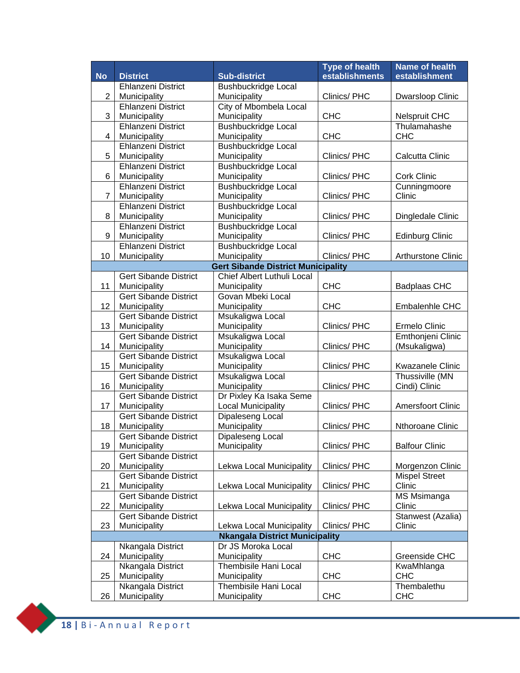|                |                                           |                                           | <b>Type of health</b> | <b>Name of health</b>    |
|----------------|-------------------------------------------|-------------------------------------------|-----------------------|--------------------------|
| <b>No</b>      | <b>District</b>                           | <b>Sub-district</b>                       | establishments        | establishment            |
|                | Ehlanzeni District                        | <b>Bushbuckridge Local</b>                |                       |                          |
| $\overline{2}$ | Municipality                              | Municipality                              | Clinics/ PHC          | Dwarsloop Clinic         |
|                | Ehlanzeni District                        | City of Mbombela Local                    |                       |                          |
| 3              | Municipality                              | Municipality                              | <b>CHC</b>            | <b>Nelspruit CHC</b>     |
|                | Ehlanzeni District                        | Bushbuckridge Local                       |                       | Thulamahashe             |
| 4              | Municipality                              | Municipality                              | <b>CHC</b>            | <b>CHC</b>               |
|                | Ehlanzeni District                        | <b>Bushbuckridge Local</b>                |                       |                          |
| 5              | Municipality<br><b>Ehlanzeni District</b> | Municipality<br>Bushbuckridge Local       | Clinics/ PHC          | Calcutta Clinic          |
| 6              |                                           | Municipality                              | Clinics/ PHC          | <b>Cork Clinic</b>       |
|                | Municipality<br><b>Ehlanzeni District</b> | <b>Bushbuckridge Local</b>                |                       | Cunningmoore             |
| $\overline{7}$ | Municipality                              | Municipality                              | Clinics/ PHC          | Clinic                   |
|                | <b>Ehlanzeni District</b>                 | <b>Bushbuckridge Local</b>                |                       |                          |
| 8              | Municipality                              | Municipality                              | Clinics/ PHC          | Dingledale Clinic        |
|                | <b>Ehlanzeni District</b>                 | <b>Bushbuckridge Local</b>                |                       |                          |
| 9              | Municipality                              | Municipality                              | Clinics/PHC           | <b>Edinburg Clinic</b>   |
|                | <b>Ehlanzeni District</b>                 | <b>Bushbuckridge Local</b>                |                       |                          |
| 10             | Municipality                              | Municipality                              | Clinics/ PHC          | Arthurstone Clinic       |
|                |                                           | <b>Gert Sibande District Municipality</b> |                       |                          |
|                | <b>Gert Sibande District</b>              | Chief Albert Luthuli Local                |                       |                          |
| 11             | Municipality                              | Municipality                              | <b>CHC</b>            | <b>Badplaas CHC</b>      |
|                | <b>Gert Sibande District</b>              | Govan Mbeki Local                         |                       |                          |
| 12             | Municipality                              | Municipality                              | <b>CHC</b>            | Embalenhle CHC           |
|                | <b>Gert Sibande District</b>              | Msukaligwa Local                          |                       |                          |
| 13             | Municipality                              | Municipality                              | Clinics/ PHC          | Ermelo Clinic            |
|                | <b>Gert Sibande District</b>              | Msukaligwa Local                          |                       | Emthonjeni Clinic        |
| 14             | Municipality                              | Municipality                              | Clinics/ PHC          | (Msukaligwa)             |
|                | <b>Gert Sibande District</b>              | Msukaligwa Local                          |                       |                          |
| 15             | Municipality                              | Municipality                              | Clinics/ PHC          | Kwazanele Clinic         |
|                | <b>Gert Sibande District</b>              | Msukaligwa Local                          |                       | Thussiville (MN          |
| 16             | Municipality                              | Municipality                              | Clinics/ PHC          | Cindi) Clinic            |
|                | <b>Gert Sibande District</b>              | Dr Pixley Ka Isaka Seme                   |                       |                          |
| 17             | Municipality                              | <b>Local Municipality</b>                 | Clinics/ PHC          | <b>Amersfoort Clinic</b> |
|                | <b>Gert Sibande District</b>              | Dipaleseng Local                          |                       |                          |
| 18             | Municipality                              | Municipality                              | Clinics/PHC           | Nthoroane Clinic         |
|                | <b>Gert Sibande District</b>              | Dipaleseng Local                          |                       |                          |
| 19             | Municipality<br>Gert Sibande District     | Municipality                              | Clinics/ PHC          | <b>Balfour Clinic</b>    |
| 20             | Municipality                              | Lekwa Local Municipality                  | Clinics/PHC           | Morgenzon Clinic         |
|                | <b>Gert Sibande District</b>              |                                           |                       | <b>Mispel Street</b>     |
| 21             | Municipality                              | Lekwa Local Municipality                  | Clinics/PHC           | Clinic                   |
|                | <b>Gert Sibande District</b>              |                                           |                       | MS Msimanga              |
| 22             | Municipality                              | Lekwa Local Municipality                  | Clinics/PHC           | Clinic                   |
|                | <b>Gert Sibande District</b>              |                                           |                       | Stanwest (Azalia)        |
| 23             | Municipality                              | Lekwa Local Municipality                  | Clinics/PHC           | Clinic                   |
|                |                                           | <b>Nkangala District Municipality</b>     |                       |                          |
|                | Nkangala District                         | Dr JS Moroka Local                        |                       |                          |
| 24             | Municipality                              | Municipality                              | <b>CHC</b>            | Greenside CHC            |
|                | Nkangala District                         | Thembisile Hani Local                     |                       | KwaMhlanga               |
| 25             | Municipality                              | Municipality                              | <b>CHC</b>            | <b>CHC</b>               |
|                | Nkangala District                         | Thembisile Hani Local                     |                       | Thembalethu              |
| 26             | Municipality                              | Municipality                              | <b>CHC</b>            | <b>CHC</b>               |

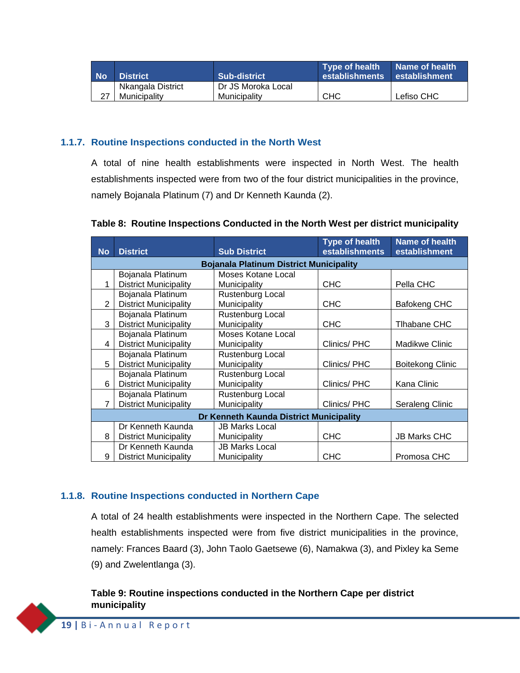| <b>No</b> | <b>District</b>                   | <b>Sub-district</b>                | Type of health<br>establishments establishment | <b>Name of health</b> |
|-----------|-----------------------------------|------------------------------------|------------------------------------------------|-----------------------|
|           | Nkangala District<br>Municipality | Dr JS Moroka Local<br>Municipality | CHC                                            | Lefiso CHC            |
|           |                                   |                                    |                                                |                       |

#### **1.1.7. Routine Inspections conducted in the North West**

<span id="page-20-0"></span>A total of nine health establishments were inspected in North West. The health establishments inspected were from two of the four district municipalities in the province, namely Bojanala Platinum (7) and Dr Kenneth Kaunda (2).

| <b>No</b>      | <b>District</b>                                | <b>Sub District</b>   | <b>Type of health</b><br>establishments | <b>Name of health</b><br>establishment |  |  |
|----------------|------------------------------------------------|-----------------------|-----------------------------------------|----------------------------------------|--|--|
|                | <b>Bojanala Platinum District Municipality</b> |                       |                                         |                                        |  |  |
|                | Bojanala Platinum                              | Moses Kotane Local    |                                         |                                        |  |  |
| 1              | <b>District Municipality</b>                   | Municipality          | <b>CHC</b>                              | Pella CHC                              |  |  |
|                | Bojanala Platinum                              | Rustenburg Local      |                                         |                                        |  |  |
| 2              | <b>District Municipality</b>                   | Municipality          | <b>CHC</b>                              | Bafokeng CHC                           |  |  |
|                | Bojanala Platinum                              | Rustenburg Local      |                                         |                                        |  |  |
| 3              | <b>District Municipality</b>                   | Municipality          | <b>CHC</b>                              | Tlhabane CHC                           |  |  |
|                | Bojanala Platinum                              | Moses Kotane Local    |                                         |                                        |  |  |
| 4              | <b>District Municipality</b>                   | Municipality          | Clinics/PHC                             | Madikwe Clinic                         |  |  |
|                | Bojanala Platinum                              | Rustenburg Local      |                                         |                                        |  |  |
| 5              | <b>District Municipality</b>                   | Municipality          | Clinics/PHC                             | <b>Boitekong Clinic</b>                |  |  |
|                | Bojanala Platinum                              | Rustenburg Local      |                                         |                                        |  |  |
| 6              | <b>District Municipality</b>                   | Municipality          | Clinics/PHC                             | Kana Clinic                            |  |  |
|                | Bojanala Platinum                              | Rustenburg Local      |                                         |                                        |  |  |
| $\overline{7}$ | <b>District Municipality</b>                   | Municipality          | Clinics/PHC                             | Seraleng Clinic                        |  |  |
|                | Dr Kenneth Kaunda District Municipality        |                       |                                         |                                        |  |  |
|                | Dr Kenneth Kaunda                              | <b>JB Marks Local</b> |                                         |                                        |  |  |
| 8              | <b>District Municipality</b>                   | Municipality          | <b>CHC</b>                              | <b>JB Marks CHC</b>                    |  |  |
|                | Dr Kenneth Kaunda                              | <b>JB Marks Local</b> |                                         |                                        |  |  |
| 9              | <b>District Municipality</b>                   | Municipality          | <b>CHC</b>                              | Promosa CHC                            |  |  |

#### **Table 8: Routine Inspections Conducted in the North West per district municipality**

#### **1.1.8. Routine Inspections conducted in Northern Cape**

<span id="page-20-1"></span>A total of 24 health establishments were inspected in the Northern Cape. The selected health establishments inspected were from five district municipalities in the province, namely: Frances Baard (3), John Taolo Gaetsewe (6), Namakwa (3), and Pixley ka Seme (9) and Zwelentlanga (3).

#### **Table 9: Routine inspections conducted in the Northern Cape per district municipality**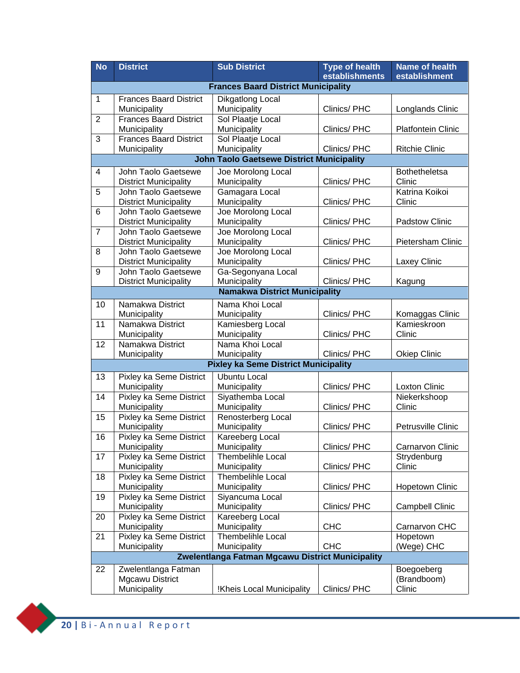| <b>No</b>       | <b>District</b>                                     | <b>Sub District</b>                                         | <b>Type of health</b><br>establishments | <b>Name of health</b><br>establishment |  |  |
|-----------------|-----------------------------------------------------|-------------------------------------------------------------|-----------------------------------------|----------------------------------------|--|--|
|                 |                                                     | <b>Frances Baard District Municipality</b>                  |                                         |                                        |  |  |
| $\mathbf{1}$    | <b>Frances Baard District</b>                       | Dikgatlong Local                                            |                                         |                                        |  |  |
|                 | Municipality                                        | Municipality                                                | Clinics/PHC                             | Longlands Clinic                       |  |  |
| $\overline{2}$  | <b>Frances Baard District</b>                       | Sol Plaatje Local                                           |                                         |                                        |  |  |
|                 | Municipality                                        | Municipality                                                | Clinics/PHC                             | Platfontein Clinic                     |  |  |
| $\overline{3}$  | <b>Frances Baard District</b>                       | Sol Plaatje Local                                           |                                         |                                        |  |  |
|                 | Municipality                                        | Municipality                                                | Clinics/PHC                             | <b>Ritchie Clinic</b>                  |  |  |
|                 | <b>John Taolo Gaetsewe District Municipality</b>    |                                                             |                                         |                                        |  |  |
| $\overline{4}$  | John Taolo Gaetsewe                                 | Joe Morolong Local                                          |                                         | <b>Bothetheletsa</b>                   |  |  |
|                 | <b>District Municipality</b>                        | Municipality                                                | Clinics/PHC                             | Clinic                                 |  |  |
| $\overline{5}$  | John Taolo Gaetsewe                                 | Gamagara Local<br>Municipality                              |                                         | Katrina Koikoi<br>Clinic               |  |  |
| $6\phantom{1}6$ | <b>District Municipality</b><br>John Taolo Gaetsewe | Joe Morolong Local                                          | Clinics/PHC                             |                                        |  |  |
|                 | <b>District Municipality</b>                        | Municipality                                                | Clinics/PHC                             | Padstow Clinic                         |  |  |
| $\overline{7}$  | John Taolo Gaetsewe                                 | Joe Morolong Local                                          |                                         |                                        |  |  |
|                 | <b>District Municipality</b>                        | Municipality                                                | Clinics/PHC                             | Pietersham Clinic                      |  |  |
| 8               | John Taolo Gaetsewe                                 | Joe Morolong Local                                          |                                         |                                        |  |  |
|                 | <b>District Municipality</b>                        | Municipality                                                | Clinics/PHC                             | Laxey Clinic                           |  |  |
| 9               | John Taolo Gaetsewe                                 | Ga-Segonyana Local                                          |                                         |                                        |  |  |
|                 | <b>District Municipality</b>                        | Municipality                                                | Clinics/ PHC                            | Kagung                                 |  |  |
|                 |                                                     | <b>Namakwa District Municipality</b>                        |                                         |                                        |  |  |
| 10              | Namakwa District                                    | Nama Khoi Local                                             |                                         |                                        |  |  |
|                 | Municipality                                        | Municipality                                                | Clinics/PHC                             | Komaggas Clinic                        |  |  |
| 11              | Namakwa District                                    | Kamiesberg Local                                            |                                         | Kamieskroon                            |  |  |
|                 | Municipality                                        | Municipality                                                | Clinics/PHC                             | Clinic                                 |  |  |
| $\overline{12}$ | Namakwa District                                    | Nama Khoi Local                                             |                                         |                                        |  |  |
|                 | Municipality                                        | Municipality<br><b>Pixley ka Seme District Municipality</b> | Clinics/PHC                             | <b>Okiep Clinic</b>                    |  |  |
|                 |                                                     |                                                             |                                         |                                        |  |  |
| 13              | Pixley ka Seme District<br>Municipality             | <b>Ubuntu Local</b>                                         | Clinics/PHC                             | <b>Loxton Clinic</b>                   |  |  |
| 14              | Pixley ka Seme District                             | Municipality<br>Siyathemba Local                            |                                         | Niekerkshoop                           |  |  |
|                 | Municipality                                        | Municipality                                                | Clinics/ PHC                            | Clinic                                 |  |  |
| 15              | Pixley ka Seme District                             | Renosterberg Local                                          |                                         |                                        |  |  |
|                 | Municipality                                        | Municipality                                                | Clinics/PHC                             | Petrusville Clinic                     |  |  |
| 16              | Pixley ka Seme District                             | Kareeberg Local                                             |                                         |                                        |  |  |
|                 | Municipality                                        | Municipality                                                | Clinics/PHC                             | Carnarvon Clinic                       |  |  |
| 17              | Pixley ka Seme District                             | Thembelihle Local                                           |                                         | Strydenburg                            |  |  |
|                 | Municipality                                        | Municipality                                                | Clinics/PHC                             | Clinic                                 |  |  |
| 18              | Pixley ka Seme District                             | Thembelihle Local                                           |                                         |                                        |  |  |
|                 | Municipality                                        | Municipality                                                | Clinics/PHC                             | <b>Hopetown Clinic</b>                 |  |  |
| 19              | Pixley ka Seme District                             | Siyancuma Local                                             | Clinics/PHC                             |                                        |  |  |
| 20              | Municipality<br>Pixley ka Seme District             | Municipality<br>Kareeberg Local                             |                                         | <b>Campbell Clinic</b>                 |  |  |
|                 | Municipality                                        | Municipality                                                | <b>CHC</b>                              | Carnarvon CHC                          |  |  |
| 21              | Pixley ka Seme District                             | Thembelihle Local                                           |                                         | Hopetown                               |  |  |
|                 | Municipality                                        | Municipality                                                | <b>CHC</b>                              | (Wege) CHC                             |  |  |
|                 |                                                     | Zwelentlanga Fatman Mgcawu District Municipality            |                                         |                                        |  |  |
| 22              | Zwelentlanga Fatman                                 |                                                             |                                         | Boegoeberg                             |  |  |
|                 | Mgcawu District                                     |                                                             |                                         | (Brandboom)                            |  |  |
|                 | Municipality                                        | !Kheis Local Municipality                                   | Clinics/PHC                             | Clinic                                 |  |  |

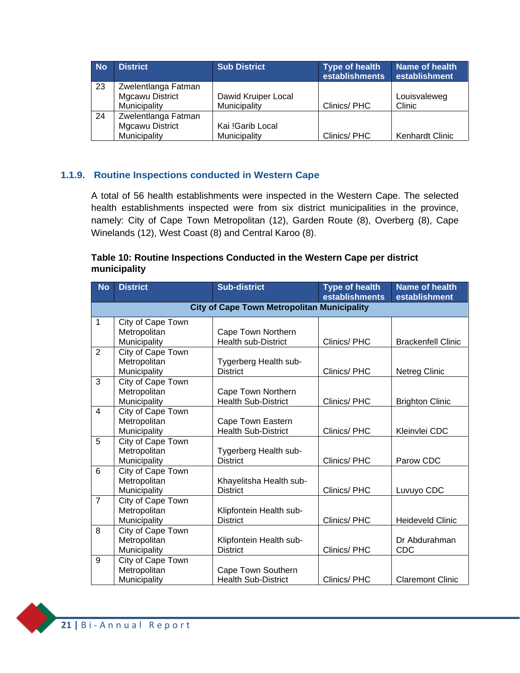| <b>No</b> | <b>District</b>                                               | <b>Sub District</b>                 | <b>Type of health</b><br>establishments | Name of health<br>establishment |
|-----------|---------------------------------------------------------------|-------------------------------------|-----------------------------------------|---------------------------------|
| 23        | Zwelentlanga Fatman<br><b>Mgcawu District</b><br>Municipality | Dawid Kruiper Local<br>Municipality | Clinics/PHC                             | Louisvaleweg<br>Clinic          |
| 24        | Zwelentlanga Fatman<br>Mgcawu District<br>Municipality        | Kai !Garib Local<br>Municipality    | Clinics/PHC                             | Kenhardt Clinic                 |

#### **1.1.9. Routine Inspections conducted in Western Cape**

<span id="page-22-0"></span>A total of 56 health establishments were inspected in the Western Cape. The selected health establishments inspected were from six district municipalities in the province, namely: City of Cape Town Metropolitan (12), Garden Route (8), Overberg (8), Cape Winelands (12), West Coast (8) and Central Karoo (8).

#### **Table 10: Routine Inspections Conducted in the Western Cape per district municipality**

| <b>No</b>      | <b>District</b>                                   | <b>Sub-district</b>                                | <b>Type of health</b><br>establishments | <b>Name of health</b><br>establishment |
|----------------|---------------------------------------------------|----------------------------------------------------|-----------------------------------------|----------------------------------------|
|                |                                                   | <b>City of Cape Town Metropolitan Municipality</b> |                                         |                                        |
| $\mathbf 1$    | City of Cape Town<br>Metropolitan                 | Cape Town Northern                                 |                                         |                                        |
|                | Municipality                                      | <b>Health sub-District</b>                         | Clinics/PHC                             | <b>Brackenfell Clinic</b>              |
| $\overline{2}$ | City of Cape Town<br>Metropolitan<br>Municipality | Tygerberg Health sub-<br><b>District</b>           | Clinics/PHC                             | <b>Netreg Clinic</b>                   |
| 3              | City of Cape Town<br>Metropolitan<br>Municipality | Cape Town Northern<br><b>Health Sub-District</b>   | Clinics/PHC                             | <b>Brighton Clinic</b>                 |
| $\overline{4}$ | City of Cape Town<br>Metropolitan<br>Municipality | Cape Town Eastern<br><b>Health Sub-District</b>    | Clinics/PHC                             | Kleinvlei CDC                          |
| $\overline{5}$ | City of Cape Town<br>Metropolitan<br>Municipality | Tygerberg Health sub-<br><b>District</b>           | Clinics/PHC                             | Parow CDC                              |
| 6              | City of Cape Town<br>Metropolitan<br>Municipality | Khayelitsha Health sub-<br><b>District</b>         | Clinics/PHC                             | Luvuyo CDC                             |
| $\overline{7}$ | City of Cape Town<br>Metropolitan<br>Municipality | Klipfontein Health sub-<br><b>District</b>         | Clinics/PHC                             | <b>Heideveld Clinic</b>                |
| $\overline{8}$ | City of Cape Town<br>Metropolitan<br>Municipality | Klipfontein Health sub-<br><b>District</b>         | Clinics/PHC                             | Dr Abdurahman<br><b>CDC</b>            |
| 9              | City of Cape Town<br>Metropolitan<br>Municipality | Cape Town Southern<br><b>Health Sub-District</b>   | Clinics/PHC                             | <b>Claremont Clinic</b>                |

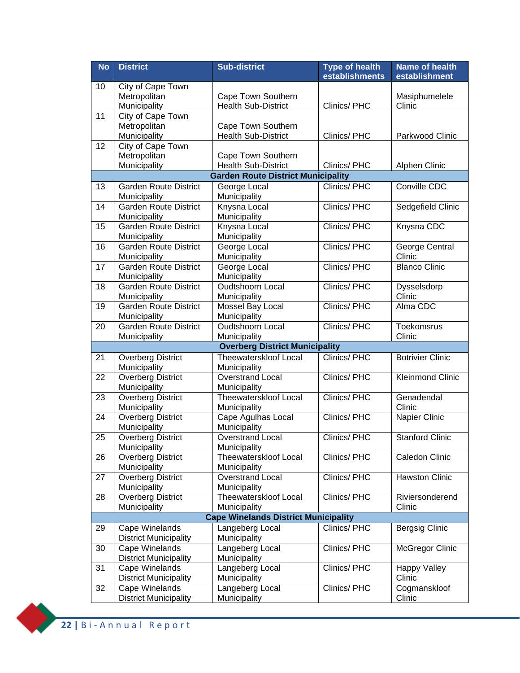| <b>No</b> | <b>District</b>                                | <b>Sub-district</b>                                                     | <b>Type of health</b><br>establishments | <b>Name of health</b><br>establishment |
|-----------|------------------------------------------------|-------------------------------------------------------------------------|-----------------------------------------|----------------------------------------|
| 10        | City of Cape Town                              |                                                                         |                                         |                                        |
|           | Metropolitan                                   | Cape Town Southern                                                      |                                         | Masiphumelele                          |
|           | Municipality                                   | <b>Health Sub-District</b>                                              | Clinics/PHC                             | Clinic                                 |
| 11        | City of Cape Town                              |                                                                         |                                         |                                        |
|           | Metropolitan                                   | Cape Town Southern                                                      |                                         |                                        |
|           | Municipality                                   | <b>Health Sub-District</b>                                              | Clinics/PHC                             | Parkwood Clinic                        |
| 12        | City of Cape Town                              |                                                                         |                                         |                                        |
|           | Metropolitan                                   | Cape Town Southern                                                      | Clinics/PHC                             |                                        |
|           | Municipality                                   | <b>Health Sub-District</b><br><b>Garden Route District Municipality</b> |                                         | Alphen Clinic                          |
| 13        | <b>Garden Route District</b>                   | George Local                                                            | Clinics/PHC                             | Conville CDC                           |
|           | Municipality                                   | Municipality                                                            |                                         |                                        |
| 14        | <b>Garden Route District</b>                   | Knysna Local                                                            | Clinics/PHC                             | Sedgefield Clinic                      |
|           | Municipality                                   | Municipality                                                            |                                         |                                        |
| 15        | <b>Garden Route District</b>                   | Knysna Local                                                            | Clinics/PHC                             | Knysna CDC                             |
|           | Municipality                                   | Municipality                                                            |                                         |                                        |
| 16        | Garden Route District                          | George Local                                                            | Clinics/PHC                             | George Central                         |
|           | Municipality                                   | Municipality                                                            |                                         | Clinic                                 |
| 17        | <b>Garden Route District</b>                   | George Local                                                            | Clinics/PHC                             | <b>Blanco Clinic</b>                   |
| 18        | Municipality<br><b>Garden Route District</b>   | Municipality<br><b>Oudtshoorn Local</b>                                 | Clinics/PHC                             |                                        |
|           | Municipality                                   | Municipality                                                            |                                         | Dysselsdorp<br>Clinic                  |
| 19        | <b>Garden Route District</b>                   | Mossel Bay Local                                                        | Clinics/PHC                             | Alma CDC                               |
|           | Municipality                                   | Municipality                                                            |                                         |                                        |
| 20        | <b>Garden Route District</b>                   | Oudtshoorn Local                                                        | <b>Clinics/PHC</b>                      | <b>Toekomsrus</b>                      |
|           | Municipality                                   | Municipality                                                            |                                         | Clinic                                 |
|           |                                                | <b>Overberg District Municipality</b>                                   |                                         |                                        |
| 21        | <b>Overberg District</b>                       | <b>Theewaterskloof Local</b>                                            | Clinics/ PHC                            | <b>Botrivier Clinic</b>                |
|           | Municipality                                   | Municipality                                                            |                                         |                                        |
| 22        | <b>Overberg District</b>                       | <b>Overstrand Local</b>                                                 | Clinics/PHC                             | <b>Kleinmond Clinic</b>                |
|           | Municipality                                   | Municipality                                                            |                                         |                                        |
| 23        | <b>Overberg District</b><br>Municipality       | <b>Theewaterskloof Local</b><br>Municipality                            | Clinics/PHC                             | Genadendal<br>Clinic                   |
| 24        | <b>Overberg District</b>                       | Cape Agulhas Local                                                      | Clinics/ PHC                            | Napier Clinic                          |
|           | Municipality                                   | Municipality                                                            |                                         |                                        |
| 25        | <b>Overberg District</b>                       | <b>Overstrand Local</b>                                                 | Clinics/PHC                             | <b>Stanford Clinic</b>                 |
|           | Municipality                                   | Municipality                                                            |                                         |                                        |
| 26        | <b>Overberg District</b>                       | Theewaterskloof Local                                                   | Clinics/PHC                             | Caledon Clinic                         |
|           | Municipality                                   | Municipality                                                            |                                         |                                        |
| 27        | <b>Overberg District</b>                       | <b>Overstrand Local</b>                                                 | Clinics/PHC                             | <b>Hawston Clinic</b>                  |
|           | Municipality                                   | Municipality                                                            |                                         |                                        |
| 28        | <b>Overberg District</b>                       | Theewaterskloof Local                                                   | Clinics/PHC                             | Riviersonderend                        |
|           | Municipality                                   | Municipality                                                            |                                         | Clinic                                 |
|           |                                                | <b>Cape Winelands District Municipality</b>                             | Clinics/PHC                             |                                        |
| 29        | Cape Winelands<br><b>District Municipality</b> | Langeberg Local<br>Municipality                                         |                                         | Bergsig Clinic                         |
| 30        | Cape Winelands                                 | Langeberg Local                                                         | Clinics/PHC                             | <b>McGregor Clinic</b>                 |
|           | <b>District Municipality</b>                   | Municipality                                                            |                                         |                                        |
| 31        | Cape Winelands                                 | Langeberg Local                                                         | Clinics/PHC                             | <b>Happy Valley</b>                    |
|           | <b>District Municipality</b>                   | Municipality                                                            |                                         | Clinic                                 |
| 32        | Cape Winelands                                 | Langeberg Local                                                         | Clinics/PHC                             | Cogmanskloof                           |
|           | <b>District Municipality</b>                   | Municipality                                                            |                                         | Clinic                                 |

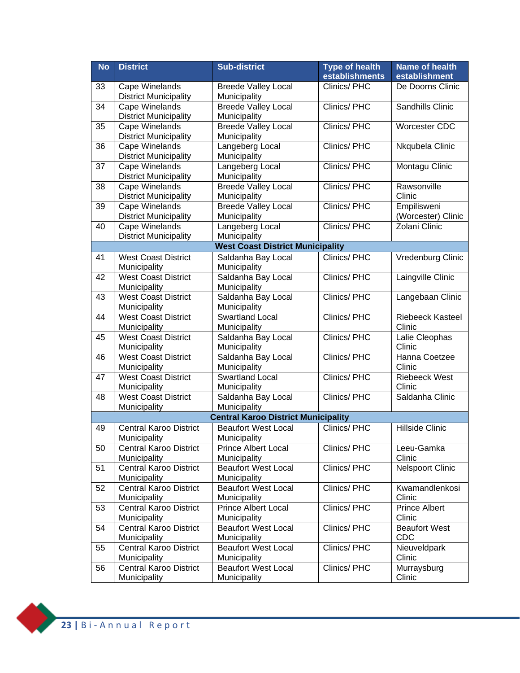| <b>No</b> | <b>District</b>                                | <b>Sub-district</b>                        | <b>Type of health</b><br>establishments | <b>Name of health</b><br>establishment |
|-----------|------------------------------------------------|--------------------------------------------|-----------------------------------------|----------------------------------------|
| 33        | Cape Winelands                                 | <b>Breede Valley Local</b>                 | Clinics/PHC                             | De Doorns Clinic                       |
|           | <b>District Municipality</b>                   | Municipality                               |                                         |                                        |
| 34        | Cape Winelands<br><b>District Municipality</b> | <b>Breede Valley Local</b><br>Municipality | Clinics/PHC                             | <b>Sandhills Clinic</b>                |
| 35        | Cape Winelands                                 | <b>Breede Valley Local</b>                 | Clinics/ PHC                            | <b>Worcester CDC</b>                   |
|           | <b>District Municipality</b>                   | Municipality                               |                                         |                                        |
| 36        | Cape Winelands                                 | Langeberg Local                            | Clinics/PHC                             | Nkqubela Clinic                        |
|           | <b>District Municipality</b>                   | Municipality                               |                                         |                                        |
| 37        | Cape Winelands                                 | Langeberg Local                            | Clinics/PHC                             | Montagu Clinic                         |
|           | <b>District Municipality</b>                   | Municipality                               |                                         |                                        |
| 38        | <b>Cape Winelands</b>                          | <b>Breede Valley Local</b>                 | Clinics/PHC                             | Rawsonville<br>Clinic                  |
| 39        | <b>District Municipality</b><br>Cape Winelands | Municipality<br><b>Breede Valley Local</b> | Clinics/PHC                             | Empilisweni                            |
|           | <b>District Municipality</b>                   | Municipality                               |                                         | (Worcester) Clinic                     |
| 40        | Cape Winelands                                 | Langeberg Local                            | Clinics/PHC                             | Zolani Clinic                          |
|           | <b>District Municipality</b>                   | Municipality                               |                                         |                                        |
|           |                                                | <b>West Coast District Municipality</b>    |                                         |                                        |
| 41        | <b>West Coast District</b>                     | Saldanha Bay Local                         | Clinics/PHC                             | Vredenburg Clinic                      |
|           | Municipality                                   | Municipality                               |                                         |                                        |
| 42        | <b>West Coast District</b>                     | Saldanha Bay Local                         | <b>Clinics/PHC</b>                      | Laingville Clinic                      |
|           | Municipality                                   | Municipality                               |                                         |                                        |
| 43        | <b>West Coast District</b>                     | Saldanha Bay Local                         | Clinics/PHC                             | Langebaan Clinic                       |
|           | Municipality                                   | Municipality                               |                                         |                                        |
| 44        | <b>West Coast District</b><br>Municipality     | Swartland Local<br>Municipality            | Clinics/ PHC                            | <b>Riebeeck Kasteel</b><br>Clinic      |
| 45        | <b>West Coast District</b>                     | Saldanha Bay Local                         | Clinics/ PHC                            | Lalie Cleophas                         |
|           | Municipality                                   | Municipality                               |                                         | Clinic                                 |
| 46        | <b>West Coast District</b>                     | Saldanha Bay Local                         | Clinics/ PHC                            | Hanna Coetzee                          |
|           | Municipality                                   | Municipality                               |                                         | Clinic                                 |
| 47        | <b>West Coast District</b>                     | Swartland Local                            | Clinics/PHC                             | <b>Riebeeck West</b>                   |
|           | Municipality                                   | Municipality                               |                                         | Clinic                                 |
| 48        | <b>West Coast District</b>                     | Saldanha Bay Local                         | Clinics/PHC                             | Saldanha Clinic                        |
|           | Municipality                                   | Municipality                               |                                         |                                        |
|           |                                                | <b>Central Karoo District Municipality</b> |                                         |                                        |
| 49        | <b>Central Karoo District</b><br>Municipality  | <b>Beaufort West Local</b><br>Municipality | Clinics/PHC                             | Hillside Clinic                        |
| 50        | <b>Central Karoo District</b>                  | <b>Prince Albert Local</b>                 | Clinics/PHC                             | Leeu-Gamka                             |
|           | Municipality                                   | Municipality                               |                                         | Clinic                                 |
| 51        | <b>Central Karoo District</b>                  | <b>Beaufort West Local</b>                 | Clinics/PHC                             | <b>Nelspoort Clinic</b>                |
|           | Municipality                                   | Municipality                               |                                         |                                        |
| 52        | <b>Central Karoo District</b>                  | <b>Beaufort West Local</b>                 | Clinics/PHC                             | Kwamandlenkosi                         |
|           | Municipality                                   | Municipality                               |                                         | Clinic                                 |
| 53        | <b>Central Karoo District</b>                  | <b>Prince Albert Local</b>                 | Clinics/PHC                             | <b>Prince Albert</b>                   |
|           | Municipality                                   | Municipality                               | Clinics/PHC                             | Clinic                                 |
| 54        | <b>Central Karoo District</b><br>Municipality  | <b>Beaufort West Local</b><br>Municipality |                                         | <b>Beaufort West</b><br><b>CDC</b>     |
| 55        | <b>Central Karoo District</b>                  | <b>Beaufort West Local</b>                 | Clinics/PHC                             | Nieuveldpark                           |
|           | Municipality                                   | Municipality                               |                                         | Clinic                                 |
| 56        | <b>Central Karoo District</b>                  | <b>Beaufort West Local</b>                 | Clinics/PHC                             | Murraysburg                            |
|           | Municipality                                   | Municipality                               |                                         | Clinic                                 |

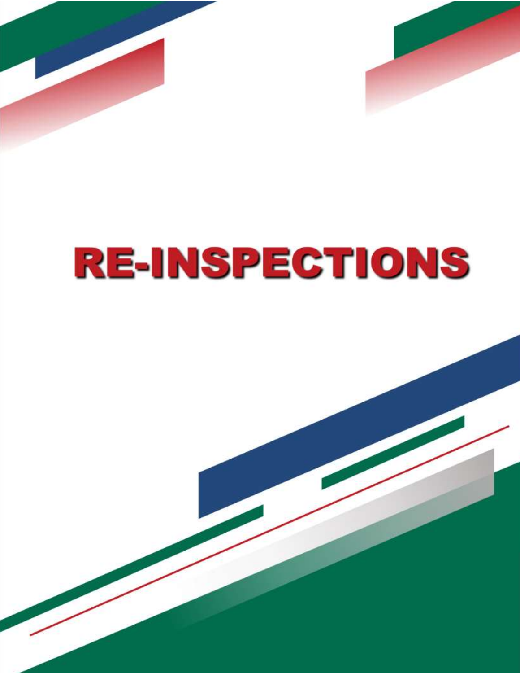



# **RE-INSPECTIONS**

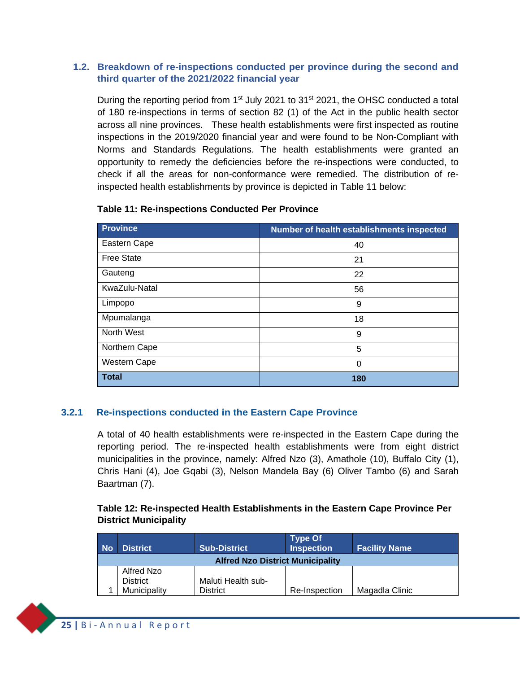#### **1.2. Breakdown of re-inspections conducted per province during the second and third quarter of the 2021/2022 financial year**

<span id="page-26-0"></span>During the reporting period from  $1<sup>st</sup>$  July 2021 to 31 $<sup>st</sup>$  2021, the OHSC conducted a total</sup> of 180 re-inspections in terms of section 82 (1) of the Act in the public health sector across all nine provinces. These health establishments were first inspected as routine inspections in the 2019/2020 financial year and were found to be Non-Compliant with Norms and Standards Regulations. The health establishments were granted an opportunity to remedy the deficiencies before the re-inspections were conducted, to check if all the areas for non-conformance were remedied. The distribution of reinspected health establishments by province is depicted in Table 11 below:

| <b>Province</b>   | Number of health establishments inspected |
|-------------------|-------------------------------------------|
| Eastern Cape      | 40                                        |
| <b>Free State</b> | 21                                        |
| Gauteng           | 22                                        |
| KwaZulu-Natal     | 56                                        |
| Limpopo           | 9                                         |
| Mpumalanga        | 18                                        |
| North West        | 9                                         |
| Northern Cape     | 5                                         |
| Western Cape      | 0                                         |
| <b>Total</b>      | 180                                       |

#### **Table 11: Re-inspections Conducted Per Province**

#### <span id="page-26-1"></span>**3.2.1 Re-inspections conducted in the Eastern Cape Province**

A total of 40 health establishments were re-inspected in the Eastern Cape during the reporting period. The re-inspected health establishments were from eight district municipalities in the province, namely: Alfred Nzo (3), Amathole (10), Buffalo City (1), Chris Hani (4), Joe Gqabi (3), Nelson Mandela Bay (6) Oliver Tambo (6) and Sarah Baartman (7).

#### **Table 12: Re-inspected Health Establishments in the Eastern Cape Province Per District Municipality**

| <b>No</b>                             | <b>District</b>                         | <b>Sub-District</b> | <b>Type Of</b><br><b>Inspection</b> | <b>Facility Name</b> |
|---------------------------------------|-----------------------------------------|---------------------|-------------------------------------|----------------------|
|                                       | <b>Alfred Nzo District Municipality</b> |                     |                                     |                      |
|                                       | Alfred Nzo                              |                     |                                     |                      |
| Maluti Health sub-<br><b>District</b> |                                         |                     |                                     |                      |
|                                       | Municipality                            | <b>District</b>     | Re-Inspection                       | Magadla Clinic       |

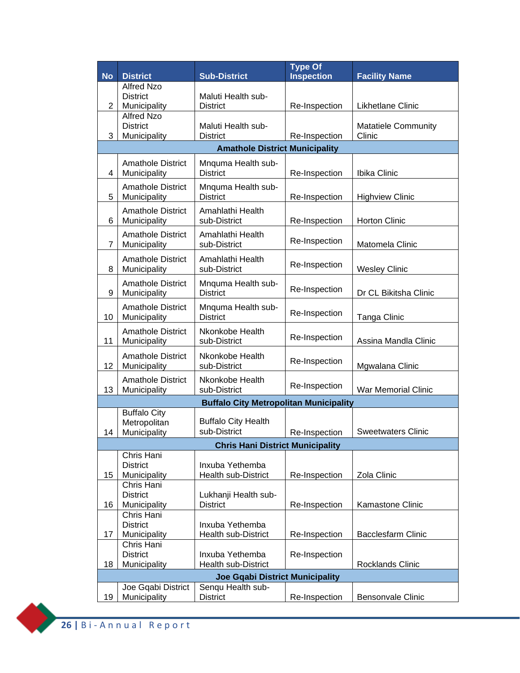| <b>No</b>      | <b>District</b>                          | <b>Sub-District</b>                           | <b>Type Of</b><br><b>Inspection</b> | <b>Facility Name</b>       |
|----------------|------------------------------------------|-----------------------------------------------|-------------------------------------|----------------------------|
|                | <b>Alfred Nzo</b>                        |                                               |                                     |                            |
|                | <b>District</b>                          | Maluti Health sub-                            |                                     |                            |
| 2              | Municipality<br><b>Alfred Nzo</b>        | <b>District</b>                               | Re-Inspection                       | Likhetlane Clinic          |
|                | <b>District</b>                          | Maluti Health sub-                            |                                     | <b>Matatiele Community</b> |
| 3              | Municipality                             | <b>District</b>                               | Re-Inspection                       | Clinic                     |
|                |                                          | <b>Amathole District Municipality</b>         |                                     |                            |
|                | <b>Amathole District</b>                 | Mnquma Health sub-                            |                                     |                            |
| 4              | Municipality                             | <b>District</b>                               | Re-Inspection                       | Ibika Clinic               |
|                | <b>Amathole District</b>                 | Mnquma Health sub-                            |                                     |                            |
| 5              | Municipality                             | <b>District</b>                               | Re-Inspection                       | <b>Highview Clinic</b>     |
|                | <b>Amathole District</b>                 | Amahlathi Health                              |                                     |                            |
| 6              | Municipality                             | sub-District                                  | Re-Inspection                       | <b>Horton Clinic</b>       |
|                | <b>Amathole District</b>                 | Amahlathi Health                              | Re-Inspection                       |                            |
| $\overline{7}$ | Municipality                             | sub-District                                  |                                     | Matomela Clinic            |
|                | <b>Amathole District</b>                 | Amahlathi Health                              | Re-Inspection                       |                            |
| 8              | Municipality                             | sub-District                                  |                                     | <b>Wesley Clinic</b>       |
| 9              | <b>Amathole District</b>                 | Mnquma Health sub-<br><b>District</b>         | Re-Inspection                       | Dr CL Bikitsha Clinic      |
|                | Municipality                             |                                               |                                     |                            |
| 10             | <b>Amathole District</b><br>Municipality | Mnquma Health sub-<br><b>District</b>         | Re-Inspection                       | <b>Tanga Clinic</b>        |
|                | <b>Amathole District</b>                 | Nkonkobe Health                               |                                     |                            |
| 11             | Municipality                             | sub-District                                  | Re-Inspection                       | Assina Mandla Clinic       |
|                | <b>Amathole District</b>                 | Nkonkobe Health                               |                                     |                            |
| 12             | Municipality                             | sub-District                                  | Re-Inspection                       | Mgwalana Clinic            |
|                | <b>Amathole District</b>                 | Nkonkobe Health                               |                                     |                            |
| 13             | Municipality                             | sub-District                                  | Re-Inspection                       | War Memorial Clinic        |
|                |                                          | <b>Buffalo City Metropolitan Municipality</b> |                                     |                            |
|                | <b>Buffalo City</b>                      |                                               |                                     |                            |
| 14             | Metropolitan<br>Municipality             | <b>Buffalo City Health</b><br>sub-District    | Re-Inspection                       | <b>Sweetwaters Clinic</b>  |
|                |                                          | <b>Chris Hani District Municipality</b>       |                                     |                            |
|                | Chris Hani                               |                                               |                                     |                            |
|                | <b>District</b>                          | Inxuba Yethemba                               |                                     |                            |
| 15             | Municipality                             | Health sub-District                           | Re-Inspection                       | Zola Clinic                |
|                | Chris Hani<br><b>District</b>            | Lukhanji Health sub-                          |                                     |                            |
| 16             | Municipality                             | <b>District</b>                               | Re-Inspection                       | Kamastone Clinic           |
|                | Chris Hani                               |                                               |                                     |                            |
|                | <b>District</b>                          | Inxuba Yethemba                               |                                     |                            |
| 17             | Municipality<br>Chris Hani               | <b>Health sub-District</b>                    | Re-Inspection                       | <b>Bacclesfarm Clinic</b>  |
|                | <b>District</b>                          | Inxuba Yethemba                               | Re-Inspection                       |                            |
| 18             | Municipality                             | <b>Health sub-District</b>                    |                                     | Rocklands Clinic           |
|                |                                          | <b>Joe Gqabi District Municipality</b>        |                                     |                            |
|                | Joe Gqabi District                       | Senqu Health sub-                             |                                     |                            |
| 19             | Municipality                             | <b>District</b>                               | Re-Inspection                       | <b>Bensonvale Clinic</b>   |

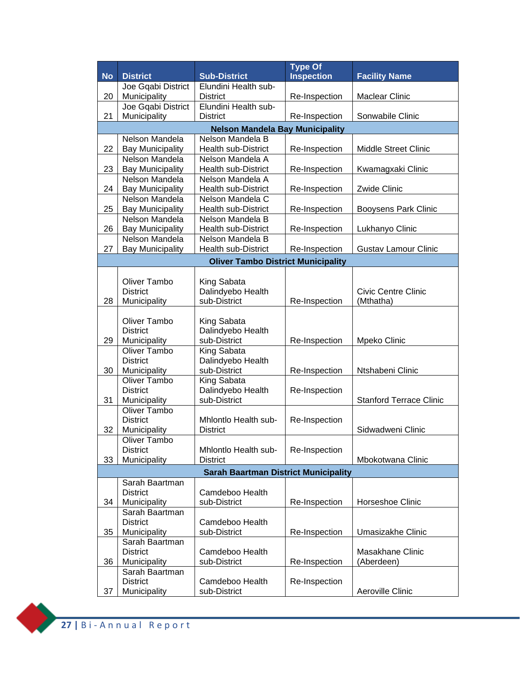|           |                                           |                                             | <b>Type Of</b>    |                                |
|-----------|-------------------------------------------|---------------------------------------------|-------------------|--------------------------------|
| <b>No</b> | <b>District</b>                           | <b>Sub-District</b>                         | <b>Inspection</b> | <b>Facility Name</b>           |
|           | Joe Gqabi District                        | Elundini Health sub-                        |                   |                                |
| 20        | Municipality                              | <b>District</b>                             | Re-Inspection     | <b>Maclear Clinic</b>          |
|           | Joe Gqabi District                        | Elundini Health sub-                        |                   |                                |
| 21        | Municipality                              | <b>District</b>                             | Re-Inspection     | Sonwabile Clinic               |
|           |                                           | <b>Nelson Mandela Bay Municipality</b>      |                   |                                |
|           | Nelson Mandela                            | Nelson Mandela B                            |                   |                                |
| 22        | <b>Bay Municipality</b>                   | Health sub-District                         | Re-Inspection     | <b>Middle Street Clinic</b>    |
|           | Nelson Mandela                            | Nelson Mandela A                            |                   |                                |
| 23        | <b>Bay Municipality</b><br>Nelson Mandela | Health sub-District<br>Nelson Mandela A     | Re-Inspection     | Kwamagxaki Clinic              |
| 24        | <b>Bay Municipality</b>                   | Health sub-District                         | Re-Inspection     | Zwide Clinic                   |
|           | Nelson Mandela                            | Nelson Mandela C                            |                   |                                |
| 25        | <b>Bay Municipality</b>                   | Health sub-District                         | Re-Inspection     | <b>Booysens Park Clinic</b>    |
|           | Nelson Mandela                            | Nelson Mandela B                            |                   |                                |
| 26        | <b>Bay Municipality</b>                   | Health sub-District                         | Re-Inspection     | Lukhanyo Clinic                |
|           | Nelson Mandela                            | Nelson Mandela B                            |                   |                                |
| 27        | <b>Bay Municipality</b>                   | <b>Health sub-District</b>                  | Re-Inspection     | <b>Gustav Lamour Clinic</b>    |
|           |                                           | <b>Oliver Tambo District Municipality</b>   |                   |                                |
|           |                                           |                                             |                   |                                |
|           | Oliver Tambo                              | King Sabata                                 |                   |                                |
|           | <b>District</b>                           | Dalindyebo Health                           |                   | <b>Civic Centre Clinic</b>     |
| 28        | Municipality                              | sub-District                                | Re-Inspection     | (Mthatha)                      |
|           | <b>Oliver Tambo</b>                       |                                             |                   |                                |
|           | <b>District</b>                           | King Sabata<br>Dalindyebo Health            |                   |                                |
| 29        | Municipality                              | sub-District                                | Re-Inspection     | Mpeko Clinic                   |
|           | Oliver Tambo                              | King Sabata                                 |                   |                                |
|           | <b>District</b>                           | Dalindyebo Health                           |                   |                                |
| 30        | Municipality                              | sub-District                                | Re-Inspection     | Ntshabeni Clinic               |
|           | Oliver Tambo                              | King Sabata                                 |                   |                                |
|           | <b>District</b>                           | Dalindyebo Health                           | Re-Inspection     |                                |
| 31        | Municipality                              | sub-District                                |                   | <b>Stanford Terrace Clinic</b> |
|           | <b>Oliver Tambo</b>                       |                                             |                   |                                |
| 32        | <b>District</b>                           | Mhlontlo Health sub-<br><b>District</b>     | Re-Inspection     | Sidwadweni Clinic              |
|           | Municipality<br>Oliver Tambo              |                                             |                   |                                |
|           | District                                  | Mhlontlo Health sub-                        | Re-Inspection     |                                |
| 33        | Municipality                              | <b>District</b>                             |                   | Mbokotwana Clinic              |
|           |                                           | <b>Sarah Baartman District Municipality</b> |                   |                                |
|           | Sarah Baartman                            |                                             |                   |                                |
|           | <b>District</b>                           | Camdeboo Health                             |                   |                                |
| 34        | Municipality                              | sub-District                                | Re-Inspection     | Horseshoe Clinic               |
|           | Sarah Baartman                            |                                             |                   |                                |
|           | <b>District</b>                           | Camdeboo Health                             |                   |                                |
| 35        | Municipality                              | sub-District                                | Re-Inspection     | Umasizakhe Clinic              |
|           | Sarah Baartman                            |                                             |                   |                                |
|           | <b>District</b>                           | Camdeboo Health                             |                   | Masakhane Clinic               |
| 36        | Municipality                              | sub-District                                | Re-Inspection     | (Aberdeen)                     |
|           | Sarah Baartman<br><b>District</b>         | Camdeboo Health                             |                   |                                |
| 37        | Municipality                              | sub-District                                | Re-Inspection     | Aeroville Clinic               |
|           |                                           |                                             |                   |                                |

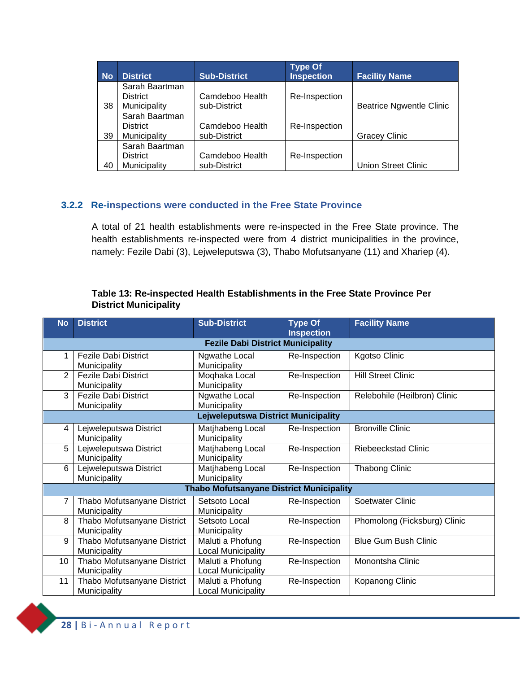| <b>No</b> | <b>District</b> | <b>Sub-District</b> | <b>Type Of</b><br><b>Inspection</b> | <b>Facility Name</b>            |
|-----------|-----------------|---------------------|-------------------------------------|---------------------------------|
|           | Sarah Baartman  |                     |                                     |                                 |
|           | <b>District</b> | Camdeboo Health     | Re-Inspection                       |                                 |
| 38        | Municipality    | sub-District        |                                     | <b>Beatrice Ngwentle Clinic</b> |
|           | Sarah Baartman  |                     |                                     |                                 |
|           | <b>District</b> | Camdeboo Health     | Re-Inspection                       |                                 |
| 39        | Municipality    | sub-District        |                                     | <b>Gracey Clinic</b>            |
|           | Sarah Baartman  |                     |                                     |                                 |
|           | <b>District</b> | Camdeboo Health     | Re-Inspection                       |                                 |
| 40        | Municipality    | sub-District        |                                     | <b>Union Street Clinic</b>      |

#### <span id="page-29-0"></span>**3.2.2 Re-inspections were conducted in the Free State Province**

A total of 21 health establishments were re-inspected in the Free State province. The health establishments re-inspected were from 4 district municipalities in the province, namely: Fezile Dabi (3), Lejweleputswa (3), Thabo Mofutsanyane (11) and Xhariep (4).

#### **Table 13: Re-inspected Health Establishments in the Free State Province Per District Municipality**

| <b>No</b>      | <b>District</b>                          | <b>Sub-District</b>                             | <b>Type Of</b><br><b>Inspection</b> | <b>Facility Name</b>         |  |  |  |
|----------------|------------------------------------------|-------------------------------------------------|-------------------------------------|------------------------------|--|--|--|
|                | <b>Fezile Dabi District Municipality</b> |                                                 |                                     |                              |  |  |  |
| 1              | <b>Fezile Dabi District</b>              | Ngwathe Local                                   | Re-Inspection                       | <b>Kgotso Clinic</b>         |  |  |  |
|                | Municipality                             | Municipality                                    |                                     |                              |  |  |  |
| $\overline{2}$ | <b>Fezile Dabi District</b>              | Moqhaka Local                                   | Re-Inspection                       | <b>Hill Street Clinic</b>    |  |  |  |
|                | Municipality                             | Municipality                                    |                                     |                              |  |  |  |
| 3              | <b>Fezile Dabi District</b>              | Ngwathe Local                                   | Re-Inspection                       | Relebohile (Heilbron) Clinic |  |  |  |
|                | Municipality                             | Municipality                                    |                                     |                              |  |  |  |
|                | Lejweleputswa District Municipality      |                                                 |                                     |                              |  |  |  |
| 4              | Lejweleputswa District                   | Matjhabeng Local                                | Re-Inspection                       | <b>Bronville Clinic</b>      |  |  |  |
|                | Municipality                             | Municipality                                    |                                     |                              |  |  |  |
| 5              | Lejweleputswa District                   | Matjhabeng Local                                | Re-Inspection                       | Riebeeckstad Clinic          |  |  |  |
|                | Municipality                             | Municipality                                    |                                     |                              |  |  |  |
| 6              | Lejweleputswa District                   | Matjhabeng Local                                | Re-Inspection                       | <b>Thabong Clinic</b>        |  |  |  |
|                | Municipality                             | Municipality                                    |                                     |                              |  |  |  |
|                |                                          | <b>Thabo Mofutsanyane District Municipality</b> |                                     |                              |  |  |  |
| 7              | Thabo Mofutsanyane District              | Setsoto Local                                   | Re-Inspection                       | Soetwater Clinic             |  |  |  |
|                | Municipality                             | Municipality                                    |                                     |                              |  |  |  |
| 8              | Thabo Mofutsanyane District              | Setsoto Local                                   | Re-Inspection                       | Phomolong (Ficksburg) Clinic |  |  |  |
|                | Municipality                             | Municipality                                    |                                     |                              |  |  |  |
| 9              | Thabo Mofutsanyane District              | Maluti a Phofung                                | Re-Inspection                       | <b>Blue Gum Bush Clinic</b>  |  |  |  |
|                | Municipality                             | Local Municipality                              |                                     |                              |  |  |  |
| 10             | Thabo Mofutsanyane District              | Maluti a Phofung                                | Re-Inspection                       | Monontsha Clinic             |  |  |  |
|                | Municipality                             | <b>Local Municipality</b>                       |                                     |                              |  |  |  |
| 11             | Thabo Mofutsanyane District              | Maluti a Phofung                                | Re-Inspection                       | Kopanong Clinic              |  |  |  |
|                | Municipality                             | <b>Local Municipality</b>                       |                                     |                              |  |  |  |

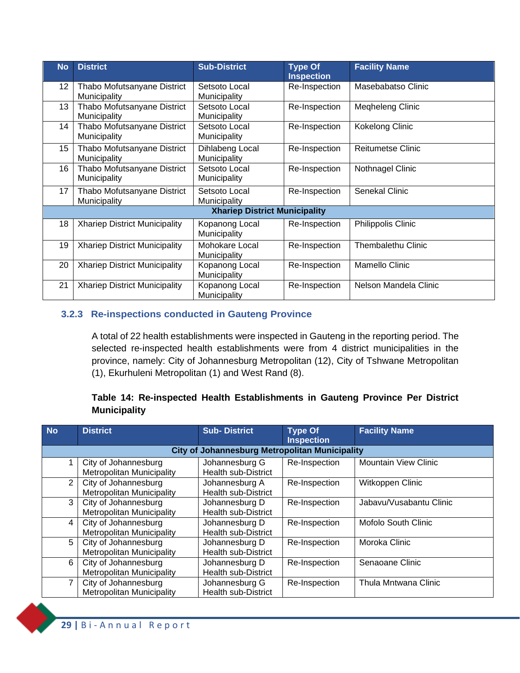| <b>No</b>       | <b>District</b>                             | <b>Sub-District</b>                  | <b>Type Of</b><br><b>Inspection</b> | <b>Facility Name</b>      |
|-----------------|---------------------------------------------|--------------------------------------|-------------------------------------|---------------------------|
| 12 <sup>°</sup> | Thabo Mofutsanyane District<br>Municipality | Setsoto Local<br>Municipality        | Re-Inspection                       | Masebabatso Clinic        |
| 13              | Thabo Mofutsanyane District<br>Municipality | Setsoto Local<br>Municipality        | Re-Inspection                       | Megheleng Clinic          |
| 14              | Thabo Mofutsanyane District<br>Municipality | Setsoto Local<br>Municipality        | Re-Inspection                       | Kokelong Clinic           |
| 15              | Thabo Mofutsanyane District<br>Municipality | Dihlabeng Local<br>Municipality      | Re-Inspection                       | <b>Reitumetse Clinic</b>  |
| 16              | Thabo Mofutsanyane District<br>Municipality | Setsoto Local<br>Municipality        | Re-Inspection                       | Nothnagel Clinic          |
| 17              | Thabo Mofutsanyane District<br>Municipality | Setsoto Local<br>Municipality        | Re-Inspection                       | Senekal Clinic            |
|                 |                                             | <b>Xhariep District Municipality</b> |                                     |                           |
| 18              | <b>Xhariep District Municipality</b>        | Kopanong Local<br>Municipality       | Re-Inspection                       | Philippolis Clinic        |
| 19              | <b>Xhariep District Municipality</b>        | Mohokare Local<br>Municipality       | Re-Inspection                       | <b>Thembalethu Clinic</b> |
| 20              | <b>Xhariep District Municipality</b>        | Kopanong Local<br>Municipality       | Re-Inspection                       | <b>Mamello Clinic</b>     |
| 21              | <b>Xhariep District Municipality</b>        | Kopanong Local<br>Municipality       | Re-Inspection                       | Nelson Mandela Clinic     |

#### **3.2.3 Re-inspections conducted in Gauteng Province**

<span id="page-30-0"></span>A total of 22 health establishments were inspected in Gauteng in the reporting period. The selected re-inspected health establishments were from 4 district municipalities in the province, namely: City of Johannesburg Metropolitan (12), City of Tshwane Metropolitan (1), Ekurhuleni Metropolitan (1) and West Rand (8).

#### **Table 14: Re-inspected Health Establishments in Gauteng Province Per District Municipality**

| <b>No</b> | <b>District</b>                                          | <b>Sub-District</b>                                   | <b>Type Of</b><br><b>Inspection</b> | <b>Facility Name</b>        |
|-----------|----------------------------------------------------------|-------------------------------------------------------|-------------------------------------|-----------------------------|
|           |                                                          | <b>City of Johannesburg Metropolitan Municipality</b> |                                     |                             |
|           | City of Johannesburg<br><b>Metropolitan Municipality</b> | Johannesburg G<br><b>Health sub-District</b>          | Re-Inspection                       | <b>Mountain View Clinic</b> |
| 2         | City of Johannesburg<br><b>Metropolitan Municipality</b> | Johannesburg A<br><b>Health sub-District</b>          | Re-Inspection                       | Witkoppen Clinic            |
| 3         | City of Johannesburg<br><b>Metropolitan Municipality</b> | Johannesburg D<br><b>Health sub-District</b>          | Re-Inspection                       | Jabavu/Vusabantu Clinic     |
| 4         | City of Johannesburg<br><b>Metropolitan Municipality</b> | Johannesburg D<br><b>Health sub-District</b>          | Re-Inspection                       | <b>Mofolo South Clinic</b>  |
| 5         | City of Johannesburg<br><b>Metropolitan Municipality</b> | Johannesburg D<br><b>Health sub-District</b>          | Re-Inspection                       | Moroka Clinic               |
| 6         | City of Johannesburg<br><b>Metropolitan Municipality</b> | Johannesburg D<br><b>Health sub-District</b>          | Re-Inspection                       | Senaoane Clinic             |
| 7         | City of Johannesburg<br><b>Metropolitan Municipality</b> | Johannesburg G<br><b>Health sub-District</b>          | Re-Inspection                       | Thula Mntwana Clinic        |

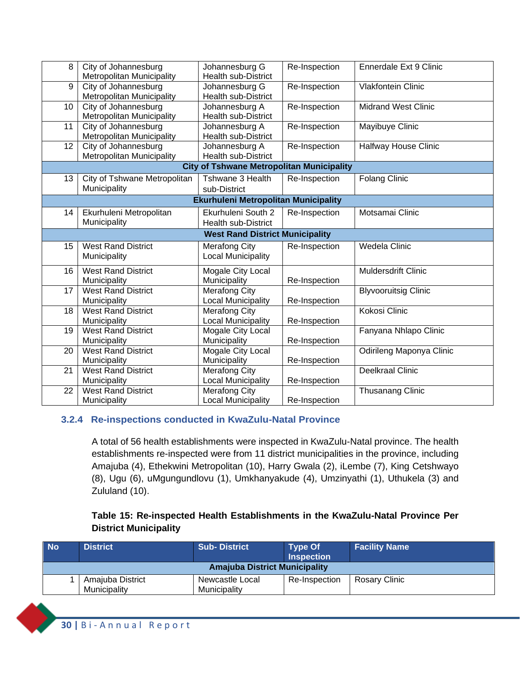| 8  | City of Johannesburg             | Johannesburg G                                   | Re-Inspection | Ennerdale Ext 9 Clinic      |
|----|----------------------------------|--------------------------------------------------|---------------|-----------------------------|
|    | <b>Metropolitan Municipality</b> | <b>Health sub-District</b>                       |               |                             |
| 9  | City of Johannesburg             | Johannesburg G                                   | Re-Inspection | <b>Vlakfontein Clinic</b>   |
|    | <b>Metropolitan Municipality</b> | <b>Health sub-District</b>                       |               |                             |
| 10 | City of Johannesburg             | Johannesburg A                                   | Re-Inspection | <b>Midrand West Clinic</b>  |
|    | <b>Metropolitan Municipality</b> | <b>Health sub-District</b>                       |               |                             |
| 11 | City of Johannesburg             | Johannesburg A                                   | Re-Inspection | Mayibuye Clinic             |
|    | <b>Metropolitan Municipality</b> | <b>Health sub-District</b>                       |               |                             |
| 12 | City of Johannesburg             | Johannesburg A                                   | Re-Inspection | <b>Halfway House Clinic</b> |
|    | Metropolitan Municipality        | <b>Health sub-District</b>                       |               |                             |
|    |                                  | <b>City of Tshwane Metropolitan Municipality</b> |               |                             |
| 13 | City of Tshwane Metropolitan     | Tshwane 3 Health                                 | Re-Inspection | <b>Folang Clinic</b>        |
|    | Municipality                     | sub-District                                     |               |                             |
|    |                                  | Ekurhuleni Metropolitan Municipality             |               |                             |
| 14 | Ekurhuleni Metropolitan          | Ekurhuleni South 2                               | Re-Inspection | Motsamai Clinic             |
|    | Municipality                     | <b>Health sub-District</b>                       |               |                             |
|    |                                  | <b>West Rand District Municipality</b>           |               |                             |
| 15 | <b>West Rand District</b>        | <b>Merafong City</b>                             | Re-Inspection | Wedela Clinic               |
|    | Municipality                     | <b>Local Municipality</b>                        |               |                             |
| 16 | <b>West Rand District</b>        |                                                  |               | <b>Muldersdrift Clinic</b>  |
|    |                                  | Mogale City Local                                |               |                             |
|    | Municipality                     | Municipality                                     | Re-Inspection |                             |
| 17 | <b>West Rand District</b>        | <b>Merafong City</b>                             |               | <b>Blyvooruitsig Clinic</b> |
|    | Municipality                     | <b>Local Municipality</b>                        | Re-Inspection |                             |
| 18 | <b>West Rand District</b>        | <b>Merafong City</b>                             |               | Kokosi Clinic               |
|    | Municipality                     | <b>Local Municipality</b>                        | Re-Inspection |                             |
| 19 | <b>West Rand District</b>        | Mogale City Local                                |               | Fanyana Nhlapo Clinic       |
|    | Municipality                     | Municipality                                     | Re-Inspection |                             |
| 20 | <b>West Rand District</b>        | Mogale City Local                                |               | Odirileng Maponya Clinic    |
|    | Municipality                     | Municipality                                     | Re-Inspection |                             |
| 21 | <b>West Rand District</b>        | <b>Merafong City</b>                             |               | <b>Deelkraal Clinic</b>     |
|    | Municipality                     | <b>Local Municipality</b>                        | Re-Inspection |                             |
| 22 | <b>West Rand District</b>        | <b>Merafong City</b>                             |               | <b>Thusanang Clinic</b>     |
|    | Municipality                     | <b>Local Municipality</b>                        | Re-Inspection |                             |

#### <span id="page-31-0"></span>**3.2.4 Re-inspections conducted in KwaZulu-Natal Province**

A total of 56 health establishments were inspected in KwaZulu-Natal province. The health establishments re-inspected were from 11 district municipalities in the province, including Amajuba (4), Ethekwini Metropolitan (10), Harry Gwala (2), iLembe (7), King Cetshwayo (8), Ugu (6), uMgungundlovu (1), Umkhanyakude (4), Umzinyathi (1), Uthukela (3) and Zululand (10).

#### **Table 15: Re-inspected Health Establishments in the KwaZulu-Natal Province Per District Municipality**

|                                                                                                                                               | <b>No</b> | <b>District</b> | <b>Sub-District</b> | <b>Type Of</b><br><b>Inspection</b> | <b>Facility Name</b> |
|-----------------------------------------------------------------------------------------------------------------------------------------------|-----------|-----------------|---------------------|-------------------------------------|----------------------|
| <b>Amajuba District Municipality</b><br>Amajuba District<br>Rosary Clinic<br>Newcastle Local<br>Re-Inspection<br>Municipality<br>Municipality |           |                 |                     |                                     |                      |
|                                                                                                                                               |           |                 |                     |                                     |                      |

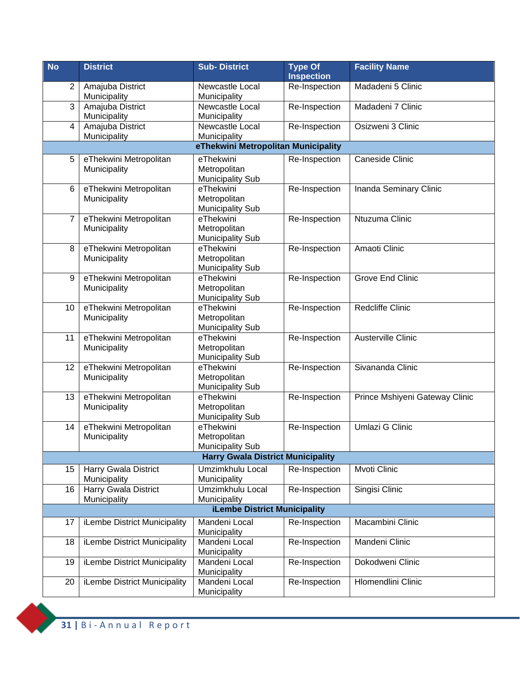| <b>No</b>      | <b>District</b>                             | <b>Sub-District</b>                                  | <b>Type Of</b><br><b>Inspection</b> | <b>Facility Name</b>           |
|----------------|---------------------------------------------|------------------------------------------------------|-------------------------------------|--------------------------------|
| $\overline{2}$ | Amajuba District<br>Municipality            | Newcastle Local<br>Municipality                      | Re-Inspection                       | Madadeni 5 Clinic              |
| 3              | Amajuba District<br>Municipality            | Newcastle Local<br>Municipality                      | Re-Inspection                       | Madadeni 7 Clinic              |
| 4              | Amajuba District<br>Municipality            | Newcastle Local<br>Municipality                      | Re-Inspection                       | Osizweni 3 Clinic              |
|                |                                             | eThekwini Metropolitan Municipality                  |                                     |                                |
| 5              | eThekwini Metropolitan                      | eThekwini                                            | Re-Inspection                       | Caneside Clinic                |
|                | Municipality                                | Metropolitan<br><b>Municipality Sub</b>              |                                     |                                |
| 6              | eThekwini Metropolitan                      | eThekwini                                            | Re-Inspection                       | Inanda Seminary Clinic         |
|                | Municipality                                | Metropolitan<br><b>Municipality Sub</b>              |                                     |                                |
| 7              | eThekwini Metropolitan<br>Municipality      | eThekwini<br>Metropolitan<br><b>Municipality Sub</b> | Re-Inspection                       | Ntuzuma Clinic                 |
| 8              | eThekwini Metropolitan<br>Municipality      | eThekwini<br>Metropolitan<br><b>Municipality Sub</b> | Re-Inspection                       | Amaoti Clinic                  |
| 9              | eThekwini Metropolitan<br>Municipality      | eThekwini<br>Metropolitan<br><b>Municipality Sub</b> | Re-Inspection                       | <b>Grove End Clinic</b>        |
| 10             | eThekwini Metropolitan<br>Municipality      | eThekwini<br>Metropolitan<br><b>Municipality Sub</b> | Re-Inspection                       | Redcliffe Clinic               |
| 11             | eThekwini Metropolitan<br>Municipality      | eThekwini<br>Metropolitan<br><b>Municipality Sub</b> | Re-Inspection                       | Austerville Clinic             |
| 12             | eThekwini Metropolitan<br>Municipality      | eThekwini<br>Metropolitan<br><b>Municipality Sub</b> | Re-Inspection                       | Sivananda Clinic               |
| 13             | eThekwini Metropolitan<br>Municipality      | eThekwini<br>Metropolitan<br><b>Municipality Sub</b> | Re-Inspection                       | Prince Mshiyeni Gateway Clinic |
| 14             | eThekwini Metropolitan<br>Municipality      | eThekwini<br>Metropolitan<br><b>Municipality Sub</b> | Re-Inspection                       | Umlazi G Clinic                |
|                |                                             | <b>Harry Gwala District Municipality</b>             |                                     |                                |
| 15             | <b>Harry Gwala District</b><br>Municipality | Umzimkhulu Local<br>Municipality                     | Re-Inspection                       | Mvoti Clinic                   |
| 16             | <b>Harry Gwala District</b><br>Municipality | Umzimkhulu Local<br>Municipality                     | Re-Inspection                       | Singisi Clinic                 |
|                |                                             | <b>iLembe District Municipality</b>                  |                                     |                                |
| 17             | iLembe District Municipality                | Mandeni Local<br>Municipality                        | Re-Inspection                       | Macambini Clinic               |
| 18             | iLembe District Municipality                | Mandeni Local<br>Municipality                        | Re-Inspection                       | Mandeni Clinic                 |
| 19             | iLembe District Municipality                | Mandeni Local<br>Municipality                        | Re-Inspection                       | Dokodweni Clinic               |
| 20             | iLembe District Municipality                | Mandeni Local<br>Municipality                        | Re-Inspection                       | Hlomendlini Clinic             |

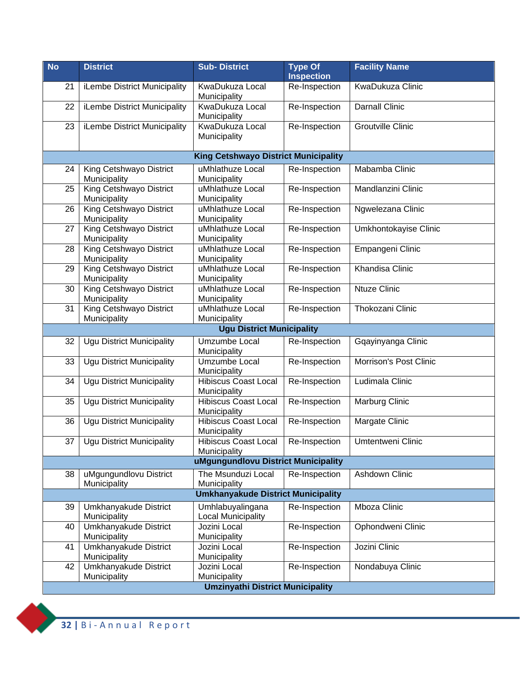| <b>No</b>                                 | <b>District</b>                         | <b>Sub-District</b>                                  | <b>Type Of</b><br><b>Inspection</b> | <b>Facility Name</b>     |  |  |
|-------------------------------------------|-----------------------------------------|------------------------------------------------------|-------------------------------------|--------------------------|--|--|
| 21                                        | iLembe District Municipality            | KwaDukuza Local<br>Municipality                      | Re-Inspection                       | KwaDukuza Clinic         |  |  |
| 22                                        | iLembe District Municipality            | KwaDukuza Local<br>Municipality                      | Re-Inspection                       | <b>Darnall Clinic</b>    |  |  |
| 23                                        | iLembe District Municipality            | KwaDukuza Local<br>Municipality                      | Re-Inspection                       | <b>Groutville Clinic</b> |  |  |
|                                           |                                         | <b>King Cetshwayo District Municipality</b>          |                                     |                          |  |  |
| 24                                        | King Cetshwayo District<br>Municipality | uMhlathuze Local<br>Municipality                     | Re-Inspection                       | Mabamba Clinic           |  |  |
| 25                                        | King Cetshwayo District<br>Municipality | uMhlathuze Local<br>Municipality                     | Re-Inspection                       | Mandlanzini Clinic       |  |  |
| 26                                        | King Cetshwayo District<br>Municipality | uMhlathuze Local<br>Municipality                     | Re-Inspection                       | Ngwelezana Clinic        |  |  |
| 27                                        | King Cetshwayo District<br>Municipality | uMhlathuze Local<br>Municipality                     | Re-Inspection                       | Umkhontokayise Clinic    |  |  |
| 28                                        | King Cetshwayo District<br>Municipality | uMhlathuze Local<br>Municipality                     | Re-Inspection                       | Empangeni Clinic         |  |  |
| 29                                        | King Cetshwayo District<br>Municipality | uMhlathuze Local<br>Municipality                     | Re-Inspection                       | Khandisa Clinic          |  |  |
| 30                                        | King Cetshwayo District<br>Municipality | uMhlathuze Local<br>Municipality                     | Re-Inspection                       | <b>Ntuze Clinic</b>      |  |  |
| 31                                        | King Cetshwayo District<br>Municipality | uMhlathuze Local<br>Municipality                     | Re-Inspection                       | Thokozani Clinic         |  |  |
|                                           |                                         | <b>Ugu District Municipality</b>                     |                                     |                          |  |  |
| 32                                        | <b>Ugu District Municipality</b>        | Umzumbe Local<br>Municipality                        | Re-Inspection                       | Gqayinyanga Clinic       |  |  |
| 33                                        | <b>Ugu District Municipality</b>        | Umzumbe Local<br>Municipality                        | Re-Inspection                       | Morrison's Post Clinic   |  |  |
| 34                                        | <b>Ugu District Municipality</b>        | <b>Hibiscus Coast Local</b><br>Municipality          | Re-Inspection                       | Ludimala Clinic          |  |  |
| 35                                        | <b>Ugu District Municipality</b>        | <b>Hibiscus Coast Local</b><br>Municipality          | Re-Inspection                       | Marburg Clinic           |  |  |
| 36                                        | <b>Ugu District Municipality</b>        | <b>Hibiscus Coast Local</b><br>Municipality          | Re-Inspection                       | Margate Clinic           |  |  |
|                                           | 37   Ugu District Municipality          | Hibiscus Coast Local   Re-Inspection<br>Municipality |                                     | Umtentweni Clinic        |  |  |
|                                           |                                         | uMgungundlovu District Municipality                  |                                     |                          |  |  |
| 38                                        | uMgungundlovu District<br>Municipality  | The Msunduzi Local<br>Municipality                   | Re-Inspection                       | <b>Ashdown Clinic</b>    |  |  |
| <b>Umkhanyakude District Municipality</b> |                                         |                                                      |                                     |                          |  |  |
| 39                                        | Umkhanyakude District<br>Municipality   | Umhlabuyalingana<br><b>Local Municipality</b>        | Re-Inspection                       | Mboza Clinic             |  |  |
| 40                                        | Umkhanyakude District<br>Municipality   | Jozini Local<br>Municipality                         | Re-Inspection                       | Ophondweni Clinic        |  |  |
| 41                                        | Umkhanyakude District<br>Municipality   | Jozini Local<br>Municipality                         | Re-Inspection                       | Jozini Clinic            |  |  |
| 42                                        | Umkhanyakude District<br>Municipality   | Jozini Local<br>Municipality                         | Re-Inspection                       | Nondabuya Clinic         |  |  |
| <b>Umzinyathi District Municipality</b>   |                                         |                                                      |                                     |                          |  |  |

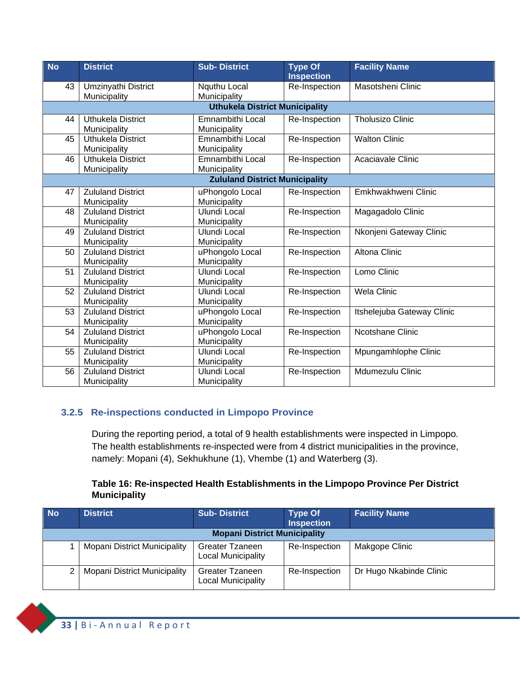| <b>No</b> | <b>District</b>          | <b>Sub-District</b>                   | <b>Type Of</b><br><b>Inspection</b> | <b>Facility Name</b>       |
|-----------|--------------------------|---------------------------------------|-------------------------------------|----------------------------|
| 43        | Umzinyathi District      | Nquthu Local                          | Re-Inspection                       | Masotsheni Clinic          |
|           | Municipality             | Municipality                          |                                     |                            |
|           |                          | <b>Uthukela District Municipality</b> |                                     |                            |
| 44        | <b>Uthukela District</b> | Emnambithi Local                      | Re-Inspection                       | <b>Tholusizo Clinic</b>    |
|           | Municipality             | Municipality                          |                                     |                            |
| 45        | <b>Uthukela District</b> | <b>Emnambithi Local</b>               | Re-Inspection                       | <b>Walton Clinic</b>       |
|           | Municipality             | Municipality                          |                                     |                            |
| 46        | <b>Uthukela District</b> | <b>Emnambithi Local</b>               | Re-Inspection                       | Acaciavale Clinic          |
|           | Municipality             | Municipality                          |                                     |                            |
|           |                          | <b>Zululand District Municipality</b> |                                     |                            |
| 47        | <b>Zululand District</b> | uPhongolo Local                       | Re-Inspection                       | Emkhwakhweni Clinic        |
|           | Municipality             | Municipality                          |                                     |                            |
| 48        | <b>Zululand District</b> | <b>Ulundi Local</b>                   | Re-Inspection                       | Magagadolo Clinic          |
|           | Municipality             | Municipality                          |                                     |                            |
| 49        | <b>Zululand District</b> | Ulundi Local                          | Re-Inspection                       | Nkonjeni Gateway Clinic    |
|           | Municipality             | Municipality                          |                                     |                            |
| 50        | <b>Zululand District</b> | uPhongolo Local                       | Re-Inspection                       | <b>Altona Clinic</b>       |
|           | Municipality             | Municipality                          |                                     |                            |
| 51        | <b>Zululand District</b> | <b>Ulundi Local</b>                   | Re-Inspection                       | Lomo Clinic                |
|           | Municipality             | Municipality                          |                                     |                            |
| 52        | <b>Zululand District</b> | <b>Ulundi Local</b>                   | Re-Inspection                       | <b>Wela Clinic</b>         |
|           | Municipality             | Municipality                          |                                     |                            |
| 53        | <b>Zululand District</b> | uPhongolo Local                       | Re-Inspection                       | Itshelejuba Gateway Clinic |
|           | Municipality             | Municipality                          |                                     |                            |
| 54        | <b>Zululand District</b> | uPhongolo Local                       | Re-Inspection                       | Ncotshane Clinic           |
|           | Municipality             | Municipality                          |                                     |                            |
| 55        | <b>Zululand District</b> | <b>Ulundi Local</b>                   | Re-Inspection                       | Mpungamhlophe Clinic       |
|           | Municipality             | Municipality                          |                                     |                            |
| 56        | <b>Zululand District</b> | Ulundi Local                          | Re-Inspection                       | Mdumezulu Clinic           |
|           | Municipality             | Municipality                          |                                     |                            |

#### **3.2.5 Re-inspections conducted in Limpopo Province**

<span id="page-34-0"></span>During the reporting period, a total of 9 health establishments were inspected in Limpopo. The health establishments re-inspected were from 4 district municipalities in the province, namely: Mopani (4), Sekhukhune (1), Vhembe (1) and Waterberg (3).

#### **Table 16: Re-inspected Health Establishments in the Limpopo Province Per District Municipality**

| <b>No</b> | <b>District</b>                     | <b>Sub-District</b>                          | <b>Type Of</b><br><b>Inspection</b> | <b>Facility Name</b>    |  |  |
|-----------|-------------------------------------|----------------------------------------------|-------------------------------------|-------------------------|--|--|
|           | <b>Mopani District Municipality</b> |                                              |                                     |                         |  |  |
|           | Mopani District Municipality        | Greater Tzaneen<br><b>Local Municipality</b> | Re-Inspection                       | Makgope Clinic          |  |  |
|           | <b>Mopani District Municipality</b> | Greater Tzaneen<br>Local Municipality        | Re-Inspection                       | Dr Hugo Nkabinde Clinic |  |  |

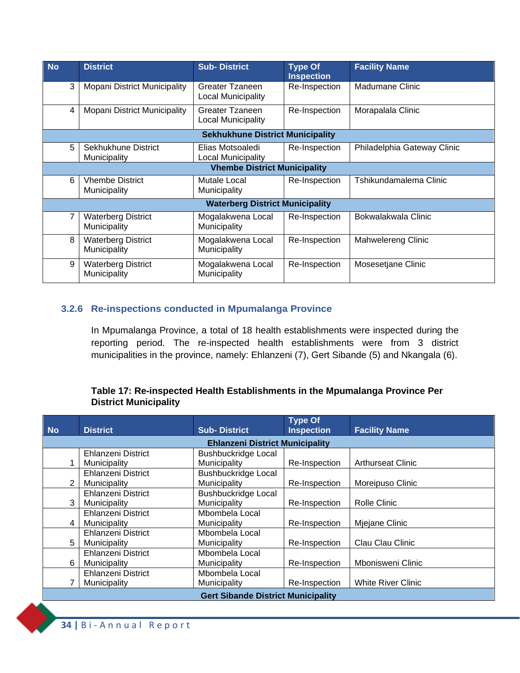| <b>No</b>                               | <b>District</b>                           | <b>Sub-District</b>                                 | <b>Type Of</b><br><b>Inspection</b> | <b>Facility Name</b>        |  |
|-----------------------------------------|-------------------------------------------|-----------------------------------------------------|-------------------------------------|-----------------------------|--|
| 3                                       | Mopani District Municipality              | Greater Tzaneen<br><b>Local Municipality</b>        | Re-Inspection                       | Madumane Clinic             |  |
| 4                                       | Mopani District Municipality              | <b>Greater Tzaneen</b><br><b>Local Municipality</b> | Re-Inspection                       | Morapalala Clinic           |  |
| <b>Sekhukhune District Municipality</b> |                                           |                                                     |                                     |                             |  |
| 5                                       | Sekhukhune District<br>Municipality       | Elias Motsoaledi<br>Local Municipality              | Re-Inspection                       | Philadelphia Gateway Clinic |  |
|                                         |                                           | <b>Vhembe District Municipality</b>                 |                                     |                             |  |
| 6                                       | <b>Vhembe District</b><br>Municipality    | Mutale Local<br>Municipality                        | Re-Inspection                       | Tshikundamalema Clinic      |  |
|                                         |                                           | <b>Waterberg District Municipality</b>              |                                     |                             |  |
|                                         | <b>Waterberg District</b><br>Municipality | Mogalakwena Local<br>Municipality                   | Re-Inspection                       | Bokwalakwala Clinic         |  |
| 8                                       | <b>Waterberg District</b><br>Municipality | Mogalakwena Local<br>Municipality                   | Re-Inspection                       | Mahwelereng Clinic          |  |
| 9                                       | <b>Waterberg District</b><br>Municipality | Mogalakwena Local<br>Municipality                   | Re-Inspection                       | Mosesetjane Clinic          |  |

#### **3.2.6 Re-inspections conducted in Mpumalanga Province**

<span id="page-35-0"></span>In Mpumalanga Province, a total of 18 health establishments were inspected during the reporting period. The re-inspected health establishments were from 3 district municipalities in the province, namely: Ehlanzeni (7), Gert Sibande (5) and Nkangala (6).

#### **Table 17: Re-inspected Health Establishments in the Mpumalanga Province Per District Municipality**

|                                           |                           |                                        | <b>Type Of</b>    |                           |  |
|-------------------------------------------|---------------------------|----------------------------------------|-------------------|---------------------------|--|
| <b>No</b>                                 | <b>District</b>           | <b>Sub-District</b>                    | <b>Inspection</b> | <b>Facility Name</b>      |  |
|                                           |                           | <b>Ehlanzeni District Municipality</b> |                   |                           |  |
|                                           | <b>Ehlanzeni District</b> | <b>Bushbuckridge Local</b>             |                   |                           |  |
|                                           | Municipality              | Municipality                           | Re-Inspection     | <b>Arthurseat Clinic</b>  |  |
|                                           | Ehlanzeni District        | <b>Bushbuckridge Local</b>             |                   |                           |  |
| $\overline{2}$                            | Municipality              | Municipality                           | Re-Inspection     | Moreipuso Clinic          |  |
|                                           | Ehlanzeni District        | <b>Bushbuckridge Local</b>             |                   |                           |  |
| 3                                         | Municipality              | Municipality                           | Re-Inspection     | Rolle Clinic              |  |
|                                           | <b>Ehlanzeni District</b> | Mbombela Local                         |                   |                           |  |
| 4                                         | Municipality              | Municipality                           | Re-Inspection     | Mjejane Clinic            |  |
|                                           | <b>Ehlanzeni District</b> | Mbombela Local                         |                   |                           |  |
| 5                                         | Municipality              | Municipality                           | Re-Inspection     | Clau Clau Clinic          |  |
|                                           | <b>Ehlanzeni District</b> | Mbombela Local                         |                   |                           |  |
| 6                                         | Municipality              | Municipality                           | Re-Inspection     | Mbonisweni Clinic         |  |
|                                           | <b>Ehlanzeni District</b> | Mbombela Local                         |                   |                           |  |
|                                           | Municipality              | Municipality                           | Re-Inspection     | <b>White River Clinic</b> |  |
| <b>Gert Sibande District Municipality</b> |                           |                                        |                   |                           |  |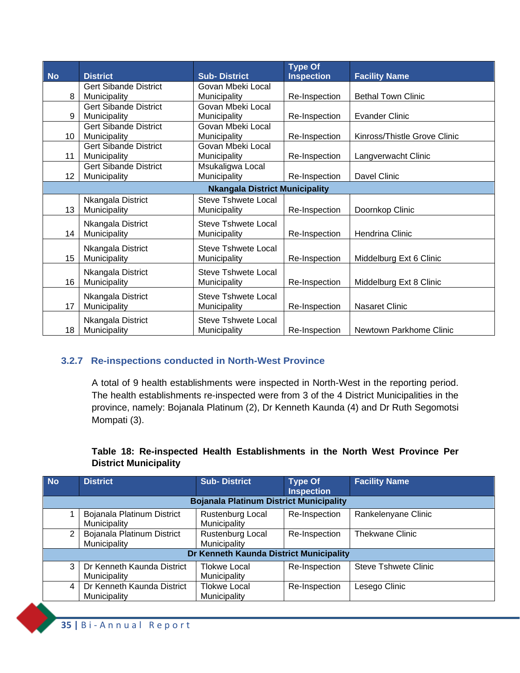| <b>No</b>       | <b>District</b>              | <b>Sub-District</b>                   | <b>Type Of</b><br><b>Inspection</b> | <b>Facility Name</b>         |
|-----------------|------------------------------|---------------------------------------|-------------------------------------|------------------------------|
|                 | <b>Gert Sibande District</b> | Govan Mbeki Local                     |                                     |                              |
| 8               | Municipality                 | Municipality                          | Re-Inspection                       | <b>Bethal Town Clinic</b>    |
|                 | <b>Gert Sibande District</b> | Govan Mbeki Local                     |                                     |                              |
| 9               | Municipality                 | Municipality                          | Re-Inspection                       | <b>Evander Clinic</b>        |
|                 | <b>Gert Sibande District</b> | Govan Mbeki Local                     |                                     |                              |
| 10              | Municipality                 | Municipality                          | Re-Inspection                       | Kinross/Thistle Grove Clinic |
|                 | <b>Gert Sibande District</b> | Govan Mbeki Local                     |                                     |                              |
| 11              | Municipality                 | Municipality                          | Re-Inspection                       | Langverwacht Clinic          |
|                 | <b>Gert Sibande District</b> | Msukaligwa Local                      |                                     |                              |
| 12              | Municipality                 | Municipality                          | Re-Inspection                       | Davel Clinic                 |
|                 |                              | <b>Nkangala District Municipality</b> |                                     |                              |
|                 | Nkangala District            | <b>Steve Tshwete Local</b>            |                                     |                              |
| 13              | Municipality                 | Municipality                          | Re-Inspection                       | Doornkop Clinic              |
|                 | Nkangala District            | Steve Tshwete Local                   |                                     |                              |
| 14              | Municipality                 | Municipality                          | Re-Inspection                       | Hendrina Clinic              |
|                 | Nkangala District            | Steve Tshwete Local                   |                                     |                              |
| 15 <sub>2</sub> | Municipality                 | Municipality                          | Re-Inspection                       | Middelburg Ext 6 Clinic      |
|                 |                              |                                       |                                     |                              |
|                 | Nkangala District            | <b>Steve Tshwete Local</b>            |                                     |                              |
| 16              | Municipality                 | <b>Municipality</b>                   | Re-Inspection                       | Middelburg Ext 8 Clinic      |
|                 | Nkangala District            | <b>Steve Tshwete Local</b>            |                                     |                              |
| 17              | Municipality                 | Municipality                          | Re-Inspection                       | <b>Nasaret Clinic</b>        |
|                 | Nkangala District            | Steve Tshwete Local                   |                                     |                              |
| 18              | Municipality                 | Municipality                          | Re-Inspection                       | Newtown Parkhome Clinic      |
|                 |                              |                                       |                                     |                              |

#### **3.2.7 Re-inspections conducted in North-West Province**

<span id="page-36-0"></span>A total of 9 health establishments were inspected in North-West in the reporting period. The health establishments re-inspected were from 3 of the 4 District Municipalities in the province, namely: Bojanala Platinum (2), Dr Kenneth Kaunda (4) and Dr Ruth Segomotsi Mompati (3).

#### **Table 18: Re-inspected Health Establishments in the North West Province Per District Municipality**

| <b>No</b>                               | <b>District</b>                                | <b>Sub-District</b>                 | Type Of<br><b>Inspection</b> | <b>Facility Name</b>        |  |  |  |
|-----------------------------------------|------------------------------------------------|-------------------------------------|------------------------------|-----------------------------|--|--|--|
|                                         | <b>Bojanala Platinum District Municipality</b> |                                     |                              |                             |  |  |  |
|                                         | Bojanala Platinum District<br>Municipality     | Rustenburg Local<br>Municipality    | Re-Inspection                | Rankelenyane Clinic         |  |  |  |
| 2                                       | Bojanala Platinum District<br>Municipality     | Rustenburg Local<br>Municipality    | Re-Inspection                | <b>Thekwane Clinic</b>      |  |  |  |
| Dr Kenneth Kaunda District Municipality |                                                |                                     |                              |                             |  |  |  |
| 3                                       | Dr Kenneth Kaunda District<br>Municipality     | Tlokwe Local<br>Municipality        | Re-Inspection                | <b>Steve Tshwete Clinic</b> |  |  |  |
| 4                                       | Dr Kenneth Kaunda District<br>Municipality     | <b>Tlokwe Local</b><br>Municipality | Re-Inspection                | Lesego Clinic               |  |  |  |

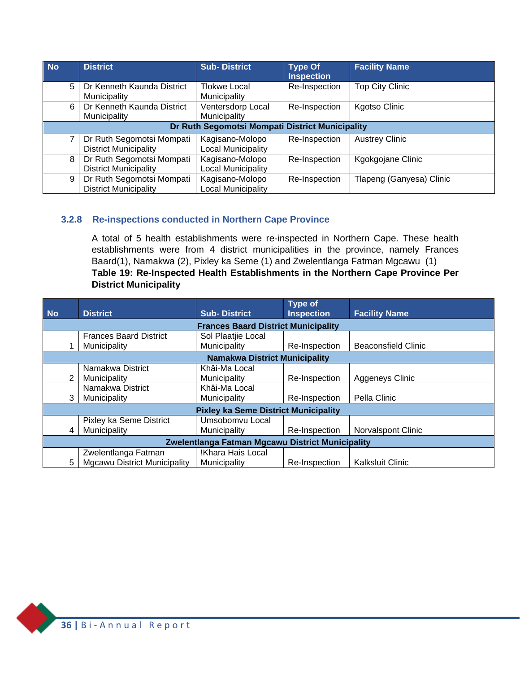| <b>No</b> | <b>District</b>                                           | <b>Sub-District</b>                          | <b>Type Of</b><br><b>Inspection</b> | <b>Facility Name</b>     |  |  |
|-----------|-----------------------------------------------------------|----------------------------------------------|-------------------------------------|--------------------------|--|--|
| 5         | Dr Kenneth Kaunda District<br>Municipality                | Tlokwe Local<br>Municipality                 | Re-Inspection                       | <b>Top City Clinic</b>   |  |  |
| 6         | Dr Kenneth Kaunda District<br>Municipality                | Ventersdorp Local<br>Municipality            | Re-Inspection                       | <b>Kgotso Clinic</b>     |  |  |
|           | Dr Ruth Segomotsi Mompati District Municipality           |                                              |                                     |                          |  |  |
|           | Dr Ruth Segomotsi Mompati<br><b>District Municipality</b> | Kagisano-Molopo<br><b>Local Municipality</b> | Re-Inspection                       | <b>Austrey Clinic</b>    |  |  |
| 8         | Dr Ruth Segomotsi Mompati<br><b>District Municipality</b> | Kagisano-Molopo<br><b>Local Municipality</b> | Re-Inspection                       | Kgokgojane Clinic        |  |  |
| 9         | Dr Ruth Segomotsi Mompati<br><b>District Municipality</b> | Kagisano-Molopo<br><b>Local Municipality</b> | Re-Inspection                       | Tlapeng (Ganyesa) Clinic |  |  |

#### **3.2.8 Re-inspections conducted in Northern Cape Province**

<span id="page-37-0"></span>A total of 5 health establishments were re-inspected in Northern Cape. These health establishments were from 4 district municipalities in the province, namely Frances Baard(1), Namakwa (2), Pixley ka Seme (1) and Zwelentlanga Fatman Mgcawu (1) **Table 19: Re-Inspected Health Establishments in the Northern Cape Province Per District Municipality**

| <b>No</b>                                        |                                      | <b>District</b>                     | <b>Sub-District</b>                         | <b>Type of</b><br><b>Inspection</b> | <b>Facility Name</b>       |  |
|--------------------------------------------------|--------------------------------------|-------------------------------------|---------------------------------------------|-------------------------------------|----------------------------|--|
|                                                  |                                      |                                     |                                             |                                     |                            |  |
|                                                  |                                      |                                     | <b>Frances Baard District Municipality</b>  |                                     |                            |  |
|                                                  |                                      | <b>Frances Baard District</b>       | Sol Plaatjie Local                          |                                     |                            |  |
|                                                  |                                      | Municipality                        | Municipality                                | Re-Inspection                       | <b>Beaconsfield Clinic</b> |  |
|                                                  | <b>Namakwa District Municipality</b> |                                     |                                             |                                     |                            |  |
|                                                  |                                      | Namakwa District                    | Khâi-Ma Local                               |                                     |                            |  |
|                                                  | 2                                    | Municipality                        | Municipality                                | Re-Inspection                       | Aggeneys Clinic            |  |
|                                                  |                                      | Namakwa District                    | Khâi-Ma Local                               |                                     |                            |  |
|                                                  | 3                                    | Municipality                        | Municipality                                | Re-Inspection                       | Pella Clinic               |  |
|                                                  |                                      |                                     | <b>Pixley ka Seme District Municipality</b> |                                     |                            |  |
|                                                  |                                      | Pixley ka Seme District             | Umsobomvu Local                             |                                     |                            |  |
|                                                  | 4                                    | Municipality                        | Municipality                                | Re-Inspection                       | <b>Norvalspont Clinic</b>  |  |
| Zwelentlanga Fatman Mgcawu District Municipality |                                      |                                     |                                             |                                     |                            |  |
|                                                  |                                      | Zwelentlanga Fatman                 | !Khara Hais Local                           |                                     |                            |  |
|                                                  | 5.                                   | <b>Mgcawu District Municipality</b> | Municipality                                | Re-Inspection                       | Kalksluit Clinic           |  |